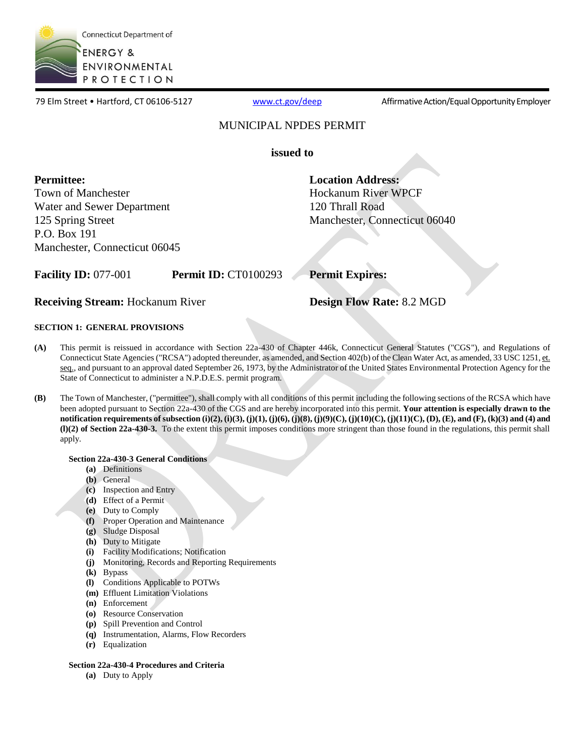

79 Elm Street • Hartford, CT 06106-5127 [www.ct.gov/deep](http://www.ct.gov/deep) Affirmative Action/Equal Opportunity Employer

### MUNICIPAL NPDES PERMIT

**issued to** 

 **Permittee: Town of Manchester** Water and Sewer Department 125 Spring Street P.O. Box 191 Manchester, Connecticut 06045 **Location Address:**  Hockanum River WPCF 120 Thrall Road Manchester, Connecticut 06040

**Facility ID:** 077-001 **Permit ID:** CT0100293

**Permit Expires:** 

**Receiving Stream:** Hockanum River

**Design Flow Rate:** 8.2 MGD

### **SECTION 1: GENERAL PROVISIONS**

- This permit is reissued in accordance with Section 22a-430 of Chapter 446k, Connecticut General Statutes ("CGS"), and Regulations of Connecticut State Agencies ("RCSA") adopted thereunder, as amended, and Section 402(b) of the Clean Water Act, as amended, 33 USC 1251, et. seq., and pursuant to an approval dated September 26, 1973, by the Administrator of the United States Environmental Protection Agency for the State of Connecticut to administer a N.P.D.E.S. permit program. **(A)**
- **(B)** been adopted pursuant to Section 22a-430 of the CGS and are hereby incorporated into this permit. **Your attention is especially drawn to the notification requirements of subsection (i)(2), (i)(3), (j)(1), (j)(6), (j)(8), (j)(9)(C), (j)(10)(C), (j)(11)(C), (D), (E), and (F), (k)(3) and (4) and (l)(2) of Section 22a-430-3.** To the extent this permit imposes conditions more stringent than those found in the regulations, this permit shall The Town of Manchester, ("permittee"), shall comply with all conditions of this permit including the following sections of the RCSA which have apply.

### **Section 22a-430-3 General Conditions**

- **(a)** Definitions
- **(b)** General
- **(c)** Inspection and Entry
- **(d)** Effect of a Permit
- **(e)** Duty to Comply
- **(f)** Proper Operation and Maintenance
- **(g)** Sludge Disposal
- **(h)** Duty to Mitigate
- **(i)** Facility Modifications; Notification
- **(j)** Monitoring, Records and Reporting Requirements
- **(k)** Bypass
- **(l)** Conditions Applicable to POTWs
- **(m)** Effluent Limitation Violations
- **(n)** Enforcement
- **(o)** Resource Conservation
- **(p)** Spill Prevention and Control
- **(q)** Instrumentation, Alarms, Flow Recorders
- **(r)** Equalization

### **Section 22a-430-4 Procedures and Criteria**

**(a)** Duty to Apply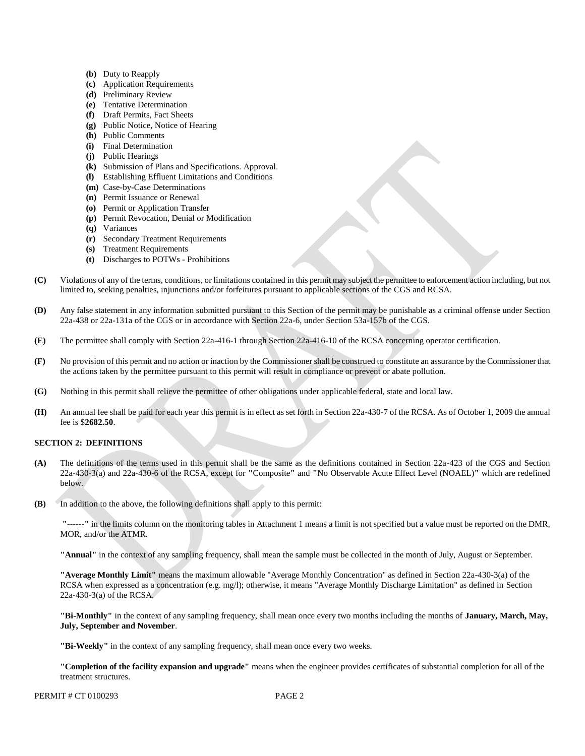- **(b)** Duty to Reapply
- **(c)** Application Requirements
- **(d)** Preliminary Review
- **(e)** Tentative Determination
- **(f)** Draft Permits, Fact Sheets
- **(g)** Public Notice, Notice of Hearing
- **(h)** Public Comments
- **(i)** Final Determination
- **(j)** Public Hearings
- **(k)** Submission of Plans and Specifications. Approval.
- **(l)** Establishing Effluent Limitations and Conditions
- **(m)** Case-by-Case Determinations
- **(n)** Permit Issuance or Renewal
- **(o)** Permit or Application Transfer
- **(p)** Permit Revocation, Denial or Modification
- **(q)** Variances
- **(r)** Secondary Treatment Requirements
- **(s)** Treatment Requirements
- **(t)** Discharges to POTWs Prohibitions
- Violations of any of the terms, conditions, or limitations contained in this permit may subject the permittee to enforcement action including, but not limited to, seeking penalties, injunctions and/or forfeitures pursuant to applicable sections of the CGS and RCSA. **(C)**
- **(D)** 22a-438 or 22a-131a of the CGS or in accordance with Section 22a-6, under Section 53a-157b of the CGS. Any false statement in any information submitted pursuant to this Section of the permit may be punishable as a criminal offense under Section
- The permittee shall comply with Section 22a-416-1 through Section 22a-416-10 of the RCSA concerning operator certification. **(E)**
- **(F)** the actions taken by the permittee pursuant to this permit will result in compliance or prevent or abate pollution. No provision of this permit and no action or inaction by the Commissioner shall be construed to constitute an assurance by the Commissioner that
- **(G)** Nothing in this permit shall relieve the permittee of other obligations under applicable federal, state and local law.
- **(H)** An annual fee shall be paid for each year this permit is in effect as set forth in Section 22a-430-7 of the RCSA. As of October 1, 2009 the annual fee is \$**2682.50**.

### **SECTION 2: DEFINITIONS**

- 22a-430-3(a) and 22a-430-6 of the RCSA, except for **"**Composite**"** and **"**No Observable Acute Effect Level (NOAEL)**"** which are redefined **(A)** The definitions of the terms used in this permit shall be the same as the definitions contained in Section 22a-423 of the CGS and Section below.
- **(B)** In addition to the above, the following definitions shall apply to this permit:

 **"------"** in the limits column on the monitoring tables in Attachment 1 means a limit is not specified but a value must be reported on the DMR, MOR, and/or the ATMR.

**"Annual"** in the context of any sampling frequency, shall mean the sample must be collected in the month of July, August or September.

 **"Average Monthly Limit"** means the maximum allowable "Average Monthly Concentration" as defined in Section 22a-430-3(a) of the RCSA when expressed as a concentration (e.g. mg/l); otherwise, it means "Average Monthly Discharge Limitation" as defined in Section 22a-430-3(a) of the RCSA.

 **"Bi-Monthly"** in the context of any sampling frequency, shall mean once every two months including the months of **January, March, May, July, September and November**.

**"Bi-Weekly"** in the context of any sampling frequency, shall mean once every two weeks.

 **"Completion of the facility expansion and upgrade"** means when the engineer provides certificates of substantial completion for all of the treatment structures.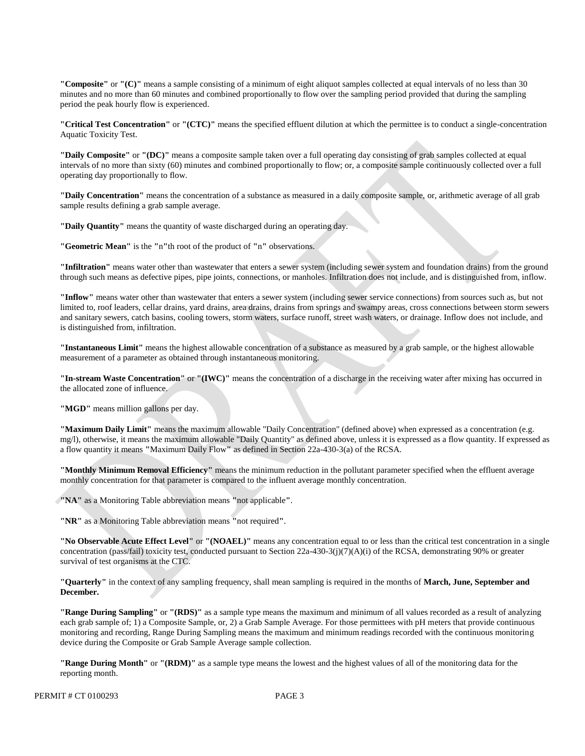**"Composite"** or **"(C)"** means a sample consisting of a minimum of eight aliquot samples collected at equal intervals of no less than 30 minutes and no more than 60 minutes and combined proportionally to flow over the sampling period provided that during the sampling period the peak hourly flow is experienced.

 **"Critical Test Concentration"** or **"(CTC)"** means the specified effluent dilution at which the permittee is to conduct a single-concentration Aquatic Toxicity Test.

 **"Daily Composite"** or **"(DC)"** means a composite sample taken over a full operating day consisting of grab samples collected at equal intervals of no more than sixty (60) minutes and combined proportionally to flow; or, a composite sample continuously collected over a full operating day proportionally to flow.

 **"Daily Concentration"** means the concentration of a substance as measured in a daily composite sample, or, arithmetic average of all grab sample results defining a grab sample average.

**"Daily Quantity"** means the quantity of waste discharged during an operating day.

**"Geometric Mean"** is the **"**n**"**th root of the product of **"**n**"** observations.

 **"Infiltration"** means water other than wastewater that enters a sewer system (including sewer system and foundation drains) from the ground through such means as defective pipes, pipe joints, connections, or manholes. Infiltration does not include, and is distinguished from, inflow.

 **"Inflow"** means water other than wastewater that enters a sewer system (including sewer service connections) from sources such as, but not limited to, roof leaders, cellar drains, yard drains, area drains, drains from springs and swampy areas, cross connections between storm sewers and sanitary sewers, catch basins, cooling towers, storm waters, surface runoff, street wash waters, or drainage. Inflow does not include, and is distinguished from, infiltration.

 **"Instantaneous Limit"** means the highest allowable concentration of a substance as measured by a grab sample, or the highest allowable measurement of a parameter as obtained through instantaneous monitoring.

 **"In-stream Waste Concentration"** or **"(IWC)"** means the concentration of a discharge in the receiving water after mixing has occurred in the allocated zone of influence.

"MGD" means million gallons per day.

 **"Maximum Daily Limit"** means the maximum allowable "Daily Concentration" (defined above) when expressed as a concentration (e.g. mg/l), otherwise, it means the maximum allowable "Daily Quantity" as defined above, unless it is expressed as a flow quantity. If expressed as a flow quantity it means **"**Maximum Daily Flow**"** as defined in Section 22a-430-3(a) of the RCSA.

 **"Monthly Minimum Removal Efficiency"** means the minimum reduction in the pollutant parameter specified when the effluent average monthly concentration for that parameter is compared to the influent average monthly concentration.

**"NA"** as a Monitoring Table abbreviation means **"**not applicable**"**.

**"NR"** as a Monitoring Table abbreviation means **"**not required**"**.

 **"No Observable Acute Effect Level"** or **"(NOAEL)"** means any concentration equal to or less than the critical test concentration in a single concentration (pass/fail) toxicity test, conducted pursuant to Section 22a-430-3(j)(7)(A)(i) of the RCSA, demonstrating 90% or greater survival of test organisms at the CTC.

 **"Quarterly"** in the context of any sampling frequency, shall mean sampling is required in the months of **March, June, September and December.** 

**"Range During Sampling"** or **"(RDS)"** as a sample type means the maximum and minimum of all values recorded as a result of analyzing each grab sample of; 1) a Composite Sample, or, 2) a Grab Sample Average. For those permittees with pH meters that provide continuous monitoring and recording, Range During Sampling means the maximum and minimum readings recorded with the continuous monitoring device during the Composite or Grab Sample Average sample collection.

**"Range During Month"** or **"(RDM)"** as a sample type means the lowest and the highest values of all of the monitoring data for the reporting month.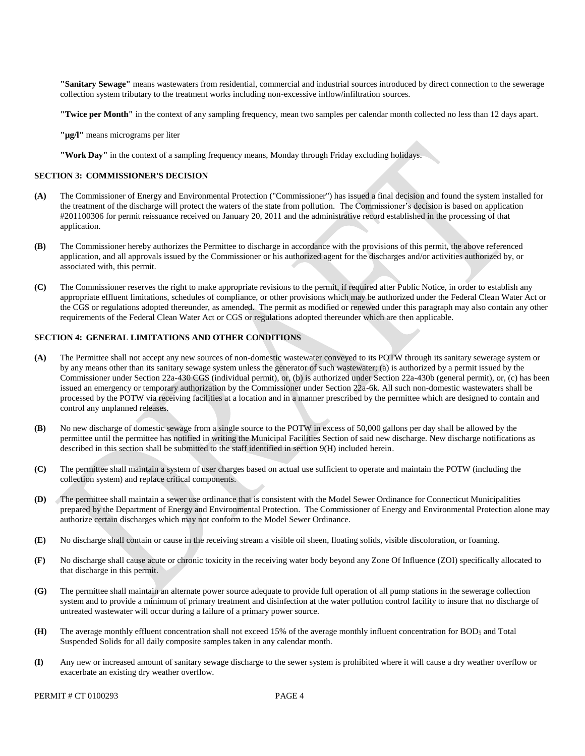**"Sanitary Sewage"** means wastewaters from residential, commercial and industrial sources introduced by direct connection to the sewerage collection system tributary to the treatment works including non-excessive inflow/infiltration sources.

 **"Twice per Month"** in the context of any sampling frequency, mean two samples per calendar month collected no less than 12 days apart.

**"µg/l"** means micrograms per liter

**"Work Day"** in the context of a sampling frequency means, Monday through Friday excluding holidays.

#### **SECTION 3: COMMISSIONER'S DECISION**

- **(A)** The Commissioner of Energy and Environmental Protection ("Commissioner") has issued a final decision and found the system installed for the treatment of the discharge will protect the waters of the state from pollution. The Commissioner's decision is based on application #201100306 for permit reissuance received on January 20, 2011 and the administrative record established in the processing of that application.
- **(B)** The Commissioner hereby authorizes the Permittee to discharge in accordance with the provisions of this permit, the above referenced application, and all approvals issued by the Commissioner or his authorized agent for the discharges and/or activities authorized by, or associated with, this permit.
- **(C)** The Commissioner reserves the right to make appropriate revisions to the permit, if required after Public Notice, in order to establish any appropriate effluent limitations, schedules of compliance, or other provisions which may be authorized under the Federal Clean Water Act or the CGS or regulations adopted thereunder, as amended. The permit as modified or renewed under this paragraph may also contain any other requirements of the Federal Clean Water Act or CGS or regulations adopted thereunder which are then applicable.

### **SECTION 4: GENERAL LIMITATIONS AND OTHER CONDITIONS**

- **(A)** The Permittee shall not accept any new sources of non-domestic wastewater conveyed to its POTW through its sanitary sewerage system or by any means other than its sanitary sewage system unless the generator of such wastewater; (a) is authorized by a permit issued by the Commissioner under Section 22a-430 CGS (individual permit), or, (b) is authorized under Section 22a-430b (general permit), or, (c) has been issued an emergency or temporary authorization by the Commissioner under Section 22a-6k. All such non-domestic wastewaters shall be processed by the POTW via receiving facilities at a location and in a manner prescribed by the permittee which are designed to contain and control any unplanned releases.
- **(B)** No new discharge of domestic sewage from a single source to the POTW in excess of 50,000 gallons per day shall be allowed by the permittee until the permittee has notified in writing the Municipal Facilities Section of said new discharge. New discharge notifications as described in this section shall be submitted to the staff identified in section 9(H) included herein.
- **(C)** The permittee shall maintain a system of user charges based on actual use sufficient to operate and maintain the POTW (including the collection system) and replace critical components.
- **(D)** The permittee shall maintain a sewer use ordinance that is consistent with the Model Sewer Ordinance for Connecticut Municipalities prepared by the Department of Energy and Environmental Protection. The Commissioner of Energy and Environmental Protection alone may authorize certain discharges which may not conform to the Model Sewer Ordinance.
- **(E)** No discharge shall contain or cause in the receiving stream a visible oil sheen, floating solids, visible discoloration, or foaming.
- **(F)** No discharge shall cause acute or chronic toxicity in the receiving water body beyond any Zone Of Influence (ZOI) specifically allocated to that discharge in this permit.
- **(G)** The permittee shall maintain an alternate power source adequate to provide full operation of all pump stations in the sewerage collection system and to provide a minimum of primary treatment and disinfection at the water pollution control facility to insure that no discharge of untreated wastewater will occur during a failure of a primary power source.
- **(H)** The average monthly effluent concentration shall not exceed 15% of the average monthly influent concentration for BOD5 and Total Suspended Solids for all daily composite samples taken in any calendar month.
- **(I)** Any new or increased amount of sanitary sewage discharge to the sewer system is prohibited where it will cause a dry weather overflow or exacerbate an existing dry weather overflow.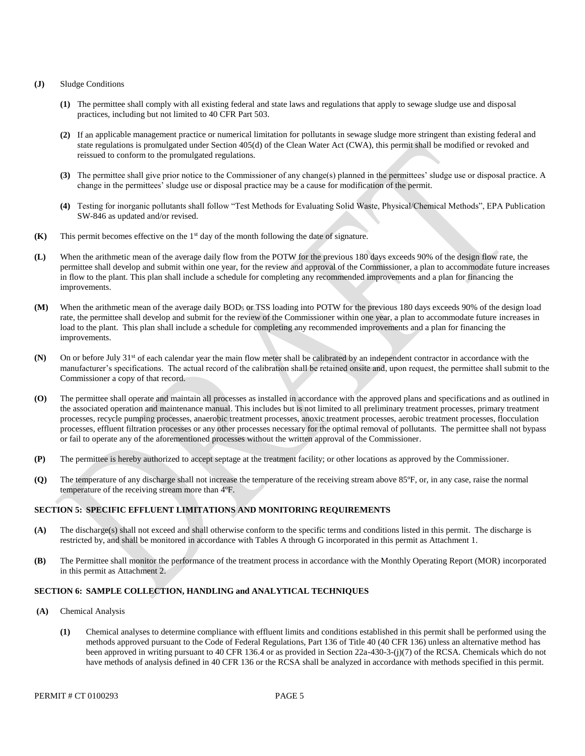#### **(J)** Sludge Conditions

- **(1)** The permittee shall comply with all existing federal and state laws and regulations that apply to sewage sludge use and disposal practices, including but not limited to 40 CFR Part 503.
- **(2)** If an applicable management practice or numerical limitation for pollutants in sewage sludge more stringent than existing federal and state regulations is promulgated under Section 405(d) of the Clean Water Act (CWA), this permit shall be modified or revoked and reissued to conform to the promulgated regulations.
- **(3)** The permittee shall give prior notice to the Commissioner of any change(s) planned in the permittees' sludge use or disposal practice. A change in the permittees' sludge use or disposal practice may be a cause for modification of the permit.
- **(4)** Testing for inorganic pollutants shall follow "Test Methods for Evaluating Solid Waste, Physical/Chemical Methods", EPA Publication SW-846 as updated and/or revised.
- This permit becomes effective on the 1<sup>st</sup> day of the month following the date of signature. **(K)**
- When the arithmetic mean of the average daily flow from the POTW for the previous 180 days exceeds 90% of the design flow rate, the permittee shall develop and submit within one year, for the review and approval of the Commissioner, a plan to accommodate future increases in flow to the plant. This plan shall include a schedule for completing any recommended improvements and a plan for financing the **(L)** improvements.
- When the arithmetic mean of the average daily BOD<sub>5</sub> or TSS loading into POTW for the previous 180 days exceeds 90% of the design load rate, the permittee shall develop and submit for the review of the Commissioner within one year, a plan to accommodate future increases in load to the plant. This plan shall include a schedule for completing any recommended improvements and a plan for financing the **(M)** improvements.
- On or before July 31<sup>st</sup> of each calendar year the main flow meter shall be calibrated by an independent contractor in accordance with the manufacturer's specifications. The actual record of the calibration shall be retained onsite and, upon request, the permittee shall submit to the Commissioner a copy of that record. **(N)**
- The permittee shall operate and maintain all processes as installed in accordance with the approved plans and specifications and as outlined in the associated operation and maintenance manual. This includes but is not limited to all preliminary treatment processes, primary treatment processes, effluent filtration processes or any other processes necessary for the optimal removal of pollutants. The permittee shall not bypass or fail to operate any of the aforementioned processes without the written approval of the Commissioner. **(O)** processes, recycle pumping processes, anaerobic treatment processes, anoxic treatment processes, aerobic treatment processes, flocculation
- The permittee is hereby authorized to accept septage at the treatment facility; or other locations as approved by the Commissioner. **(P)**
- The temperature of any discharge shall not increase the temperature of the receiving stream above 85°F, or, in any case, raise the normal temperature of the receiving stream more than 4ºF. **(Q)**

#### **SECTION 5: SPECIFIC EFFLUENT LIMITATIONS AND MONITORING REQUIREMENTS**

- **(A)** restricted by, and shall be monitored in accordance with Tables A through G incorporated in this permit as Attachment 1. The discharge(s) shall not exceed and shall otherwise conform to the specific terms and conditions listed in this permit. The discharge is
- **(B)** in this permit as Attachment 2. The Permittee shall monitor the performance of the treatment process in accordance with the Monthly Operating Report (MOR) incorporated

#### **SECTION 6: SAMPLE COLLECTION, HANDLING and ANALYTICAL TECHNIQUES**

- **(A)** Chemical Analysis
	- **(1)** Chemical analyses to determine compliance with effluent limits and conditions established in this permit shall be performed using the methods approved pursuant to the Code of Federal Regulations, Part 136 of Title 40 (40 CFR 136) unless an alternative method has been approved in writing pursuant to 40 CFR 136.4 or as provided in Section 22a-430-3-(j)(7) of the RCSA. Chemicals which do not have methods of analysis defined in 40 CFR 136 or the RCSA shall be analyzed in accordance with methods specified in this permit.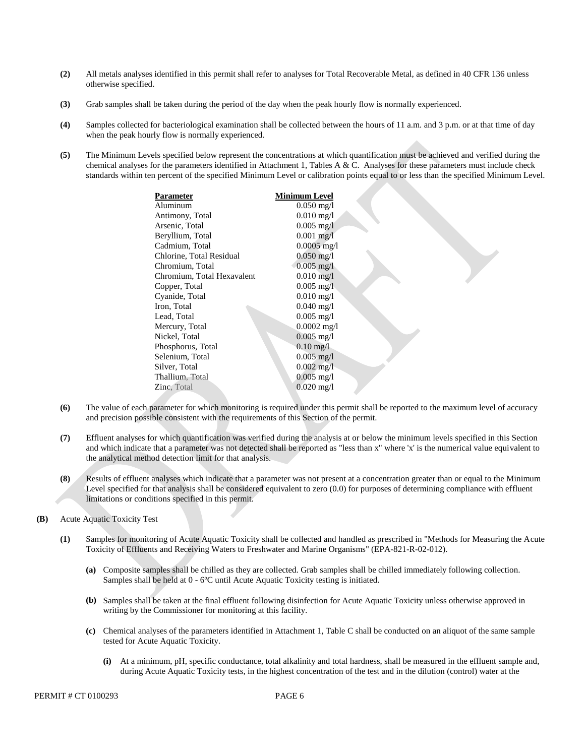- **(2)** All metals analyses identified in this permit shall refer to analyses for Total Recoverable Metal, as defined in 40 CFR 136 unless otherwise specified.
- **(3)** Grab samples shall be taken during the period of the day when the peak hourly flow is normally experienced.
- **(4)** Samples collected for bacteriological examination shall be collected between the hours of 11 a.m. and 3 p.m. or at that time of day when the peak hourly flow is normally experienced.
- **(5)** The Minimum Levels specified below represent the concentrations at which quantification must be achieved and verified during the chemical analyses for the parameters identified in Attachment 1, Tables A & C. Analyses for these parameters must include check standards within ten percent of the specified Minimum Level or calibration points equal to or less than the specified Minimum Level.

| Parameter                  | Minimum Level          |
|----------------------------|------------------------|
| Aluminum                   | $0.050 \text{ mg/l}$   |
| Antimony, Total            | $0.010$ mg/l           |
| Arsenic, Total             | $0.005$ mg/l           |
| Beryllium, Total           | $0.001$ mg/l           |
| Cadmium, Total             | $0.0005$ mg/l          |
| Chlorine, Total Residual   | $0.050$ mg/l           |
| Chromium, Total            | $0.005 \text{ mg/l}$   |
| Chromium, Total Hexavalent | $0.010$ mg/l           |
| Copper, Total              | $0.005$ mg/I           |
| Cyanide, Total             | $0.010$ mg/l           |
| Iron, Total                | $0.040$ mg/l           |
| Lead, Total                | $0.005$ mg/l           |
| Mercury, Total             | $0.0002$ mg/l          |
| Nickel, Total              | $0.005$ mg/l           |
| Phosphorus, Total          | $0.10 \,\mathrm{mg}/l$ |
| Selenium, Total            | $0.005$ mg/l           |
| Silver, Total              | $0.002$ mg/l           |
| Thallium, Total            | $0.005$ mg/l           |
| <b>Zinc</b> , Total        | $0.020$ mg/l           |
|                            |                        |

- **(6)** and precision possible consistent with the requirements of this Section of the permit. The value of each parameter for which monitoring is required under this permit shall be reported to the maximum level of accuracy
- Effluent analyses for which quantification was verified during the analysis at or below the minimum levels specified in this Section and which indicate that a parameter was not detected shall be reported as "less than x" where 'x' is the numerical value equivalent to the analytical method detection limit for that analysis. **(7)**
- Results of effluent analyses which indicate that a parameter was not present at a concentration greater than or equal to the Minimum Level specified for that analysis shall be considered equivalent to zero (0.0) for purposes of determining compliance with effluent limitations or conditions specified in this permit. **(8)**
- Acute Aquatic Toxicity Test **(B)**
	- **(1)** Toxicity of Effluents and Receiving Waters to Freshwater and Marine Organisms" (EPA-821-R-02-012). Samples for monitoring of Acute Aquatic Toxicity shall be collected and handled as prescribed in "Methods for Measuring the Acute
		- **(a)** Composite samples shall be chilled as they are collected. Grab samples shall be chilled immediately following collection. Samples shall be held at 0 - 6ºC until Acute Aquatic Toxicity testing is initiated.
		- **(b)** Samples shall be taken at the final effluent following disinfection for Acute Aquatic Toxicity unless otherwise approved in writing by the Commissioner for monitoring at this facility.
		- **(c)** Chemical analyses of the parameters identified in Attachment 1, Table C shall be conducted on an aliquot of the same sample tested for Acute Aquatic Toxicity.
			- **(i)** At a minimum, pH, specific conductance, total alkalinity and total hardness, shall be measured in the effluent sample and, during Acute Aquatic Toxicity tests, in the highest concentration of the test and in the dilution (control) water at the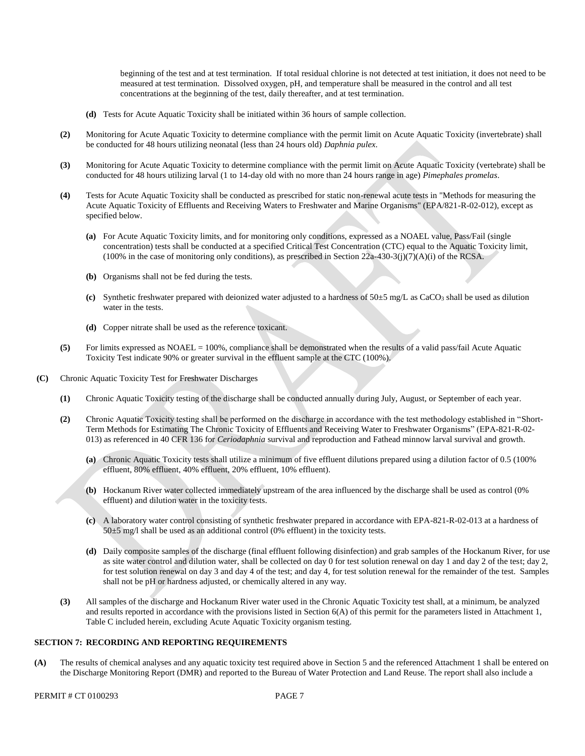beginning of the test and at test termination. If total residual chlorine is not detected at test initiation, it does not need to be measured at test termination. Dissolved oxygen, pH, and temperature shall be measured in the control and all test concentrations at the beginning of the test, daily thereafter, and at test termination.

- **(d)** Tests for Acute Aquatic Toxicity shall be initiated within 36 hours of sample collection.
- **(2)** Monitoring for Acute Aquatic Toxicity to determine compliance with the permit limit on Acute Aquatic Toxicity (invertebrate) shall be conducted for 48 hours utilizing neonatal (less than 24 hours old) *Daphnia pulex*.
- Monitoring for Acute Aquatic Toxicity to determine compliance with the permit limit on Acute Aquatic Toxicity (vertebrate) shall be conducted for 48 hours utilizing larval (1 to 14-day old with no more than 24 hours range in age) *Pimephales promelas*. **(3)**
- Tests for Acute Aquatic Toxicity shall be conducted as prescribed for static non-renewal acute tests in "Methods for measuring the Acute Aquatic Toxicity of Effluents and Receiving Waters to Freshwater and Marine Organisms" (EPA/821-R-02-012), except as specified below. **(4)**
	- **(a)** For Acute Aquatic Toxicity limits, and for monitoring only conditions, expressed as a NOAEL value, Pass/Fail (single concentration) tests shall be conducted at a specified Critical Test Concentration (CTC) equal to the Aquatic Toxicity limit, (100% in the case of monitoring only conditions), as prescribed in Section 22a-430-3(j)(7)(A)(i) of the RCSA.
	- **(b)** Organisms shall not be fed during the tests.
	- water in the tests. **(c)** Synthetic freshwater prepared with deionized water adjusted to a hardness of 50±5 mg/L as CaCO3 shall be used as dilution
	- **(d)** Copper nitrate shall be used as the reference toxicant.
- For limits expressed as NOAEL = 100%, compliance shall be demonstrated when the results of a valid pass/fail Acute Aquatic Toxicity Test indicate 90% or greater survival in the effluent sample at the CTC (100%). **(5)**
- Chronic Aquatic Toxicity Test for Freshwater Discharges **(C)**
	- Chronic Aquatic Toxicity testing of the discharge shall be conducted annually during July, August, or September of each year. **(1)**
	- Chronic Aquatic Toxicity testing shall be performed on the discharge in accordance with the test methodology established in "Short- Term Methods for Estimating The Chronic Toxicity of Effluents and Receiving Water to Freshwater Organisms" (EPA-821-R-02 013) as referenced in 40 CFR 136 for *Ceriodaphnia* survival and reproduction and Fathead minnow larval survival and growth. **(2)**
		- **(a)** Chronic Aquatic Toxicity tests shall utilize a minimum of five effluent dilutions prepared using a dilution factor of 0.5 (100% effluent, 80% effluent, 40% effluent, 20% effluent, 10% effluent).
		- **(b)** Hockanum River water collected immediately upstream of the area influenced by the discharge shall be used as control (0% effluent) and dilution water in the toxicity tests.
		- **(c)** A laboratory water control consisting of synthetic freshwater prepared in accordance with EPA-821-R-02-013 at a hardness of  $50±5$  mg/l shall be used as an additional control (0% effluent) in the toxicity tests.
		- **(d)** Daily composite samples of the discharge (final effluent following disinfection) and grab samples of the Hockanum River, for use as site water control and dilution water, shall be collected on day 0 for test solution renewal on day 1 and day 2 of the test; day 2, for test solution renewal on day 3 and day 4 of the test; and day 4, for test solution renewal for the remainder of the test. Samples shall not be pH or hardness adjusted, or chemically altered in any way.
	- $(3)$  and results reported in accordance with the provisions listed in Section 6(A) of this permit for the parameters listed in Attachment 1, Table C included herein, excluding Acute Aquatic Toxicity organism testing. **(3)** All samples of the discharge and Hockanum River water used in the Chronic Aquatic Toxicity test shall, at a minimum, be analyzed

### **SECTION 7: RECORDING AND REPORTING REQUIREMENTS**

 $(A)$  the Discharge Monitoring Report (DMR) and reported to the Bureau of Water Protection and Land Reuse. The report shall also include a **(A)** The results of chemical analyses and any aquatic toxicity test required above in Section 5 and the referenced Attachment 1 shall be entered on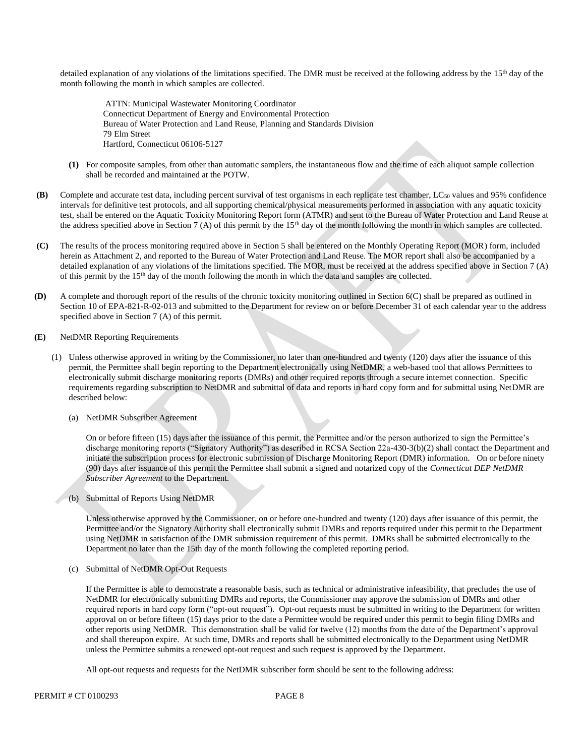detailed explanation of any violations of the limitations specified. The DMR must be received at the following address by the 15<sup>th</sup> day of the month following the month in which samples are collected.

ATTN: Municipal Wastewater Monitoring Coordinator Connecticut Department of Energy and Environmental Protection Bureau of Water Protection and Land Reuse, Planning and Standards Division 79 Elm Street Hartford, Connecticut 06106-5127

- **(1)** For composite samples, from other than automatic samplers, the instantaneous flow and the time of each aliquot sample collection shall be recorded and maintained at the POTW.
- **(B)** Complete and accurate test data, including percent survival of test organisms in each replicate test chamber, LC50 values and 95% confidence intervals for definitive test protocols, and all supporting chemical/physical measurements performed in association with any aquatic toxicity test, shall be entered on the Aquatic Toxicity Monitoring Report form (ATMR) and sent to the Bureau of Water Protection and Land Reuse at the address specified above in Section 7 (A) of this permit by the 15<sup>th</sup> day of the month following the month in which samples are collected.
- **(C)** The results of the process monitoring required above in Section 5 shall be entered on the Monthly Operating Report (MOR) form, included herein as Attachment 2, and reported to the Bureau of Water Protection and Land Reuse. The MOR report shall also be accompanied by a detailed explanation of any violations of the limitations specified. The MOR, must be received at the address specified above in Section 7 (A) of this permit by the 15th day of the month following the month in which the data and samples are collected.
- **(D)** A complete and thorough report of the results of the chronic toxicity monitoring outlined in Section 6(C) shall be prepared as outlined in Section 10 of EPA-821-R-02-013 and submitted to the Department for review on or before December 31 of each calendar year to the address specified above in Section 7 (A) of this permit.
- **(E)** NetDMR Reporting Requirements
	- (1) Unless otherwise approved in writing by the Commissioner, no later than one-hundred and twenty (120) days after the issuance of this permit, the Permittee shall begin reporting to the Department electronically using NetDMR, a web-based tool that allows Permittees to electronically submit discharge monitoring reports (DMRs) and other required reports through a secure internet connection. Specific requirements regarding subscription to NetDMR and submittal of data and reports in hard copy form and for submittal using NetDMR are described below:
		- (a) NetDMR Subscriber Agreement

On or before fifteen (15) days after the issuance of this permit, the Permittee and/or the person authorized to sign the Permittee's discharge monitoring reports ("Signatory Authority") as described in RCSA Section 22a-430-3(b)(2) shall contact the Department and initiate the subscription process for electronic submission of Discharge Monitoring Report (DMR) information. On or before ninety (90) days after issuance of this permit the Permittee shall submit a signed and notarized copy of the *Connecticut DEP NetDMR Subscriber Agreement* to the Department*.*

(b) Submittal of Reports Using NetDMR

Unless otherwise approved by the Commissioner, on or before one-hundred and twenty (120) days after issuance of this permit, the Permittee and/or the Signatory Authority shall electronically submit DMRs and reports required under this permit to the Department using NetDMR in satisfaction of the DMR submission requirement of this permit. DMRs shall be submitted electronically to the Department no later than the 15th day of the month following the completed reporting period.

(c) Submittal of NetDMR Opt-Out Requests

 required reports in hard copy form ("opt-out request"). Opt-out requests must be submitted in writing to the Department for written approval on or before fifteen (15) days prior to the date a Permittee would be required under this permit to begin filing DMRs and other reports using NetDMR. This demonstration shall be valid for twelve (12) months from the date of the Department's approval and shall thereupon expire. At such time, DMRs and reports shall be submitted electronically to the Department using NetDMR unless the Permittee submits a renewed opt-out request and such request is approved by the Department. If the Permittee is able to demonstrate a reasonable basis, such as technical or administrative infeasibility, that precludes the use of NetDMR for electronically submitting DMRs and reports, the Commissioner may approve the submission of DMRs and other

All opt-out requests and requests for the NetDMR subscriber form should be sent to the following address: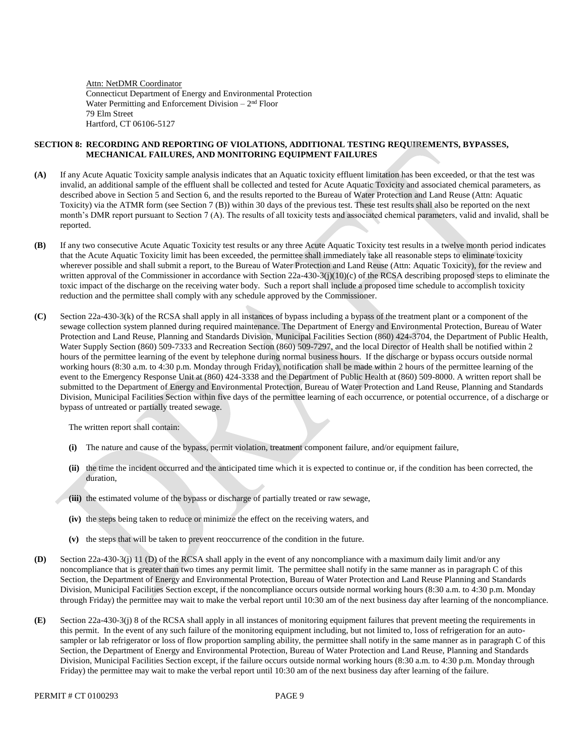Connecticut Department of Energy and Environmental Protection Water Permitting and Enforcement Division  $-2<sup>nd</sup>$  Floor 79 Elm Street Hartford, CT 06106-5127 Attn: NetDMR Coordinator

### **SECTION 8: RECORDING AND REPORTING OF VIOLATIONS, ADDITIONAL TESTING REQUIREMENTS, BYPASSES, MECHANICAL FAILURES, AND MONITORING EQUIPMENT FAILURES**

- **(A)** invalid, an additional sample of the effluent shall be collected and tested for Acute Aquatic Toxicity and associated chemical parameters, as described above in Section 5 and Section 6, and the results reported to the Bureau of Water Protection and Land Reuse (Attn: Aquatic Toxicity) via the ATMR form (see Section 7 (B)) within 30 days of the previous test. These test results shall also be reported on the next month's DMR report pursuant to Section 7 (A). The results of all toxicity tests and associated chemical parameters, valid and invalid, shall be If any Acute Aquatic Toxicity sample analysis indicates that an Aquatic toxicity effluent limitation has been exceeded, or that the test was reported.
- **(B)** that the Acute Aquatic Toxicity limit has been exceeded, the permittee shall immediately take all reasonable steps to eliminate toxicity wherever possible and shall submit a report, to the Bureau of Water Protection and Land Reuse (Attn: Aquatic Toxicity), for the review and written approval of the Commissioner in accordance with Section 22a-430-3(j)(10)(c) of the RCSA describing proposed steps to eliminate the toxic impact of the discharge on the receiving water body. Such a report shall include a proposed time schedule to accomplish toxicity reduction and the permittee shall comply with any schedule approved by the Commissioner. If any two consecutive Acute Aquatic Toxicity test results or any three Acute Aquatic Toxicity test results in a twelve month period indicates
- Section 22a-430-3(k) of the RCSA shall apply in all instances of bypass including a bypass of the treatment plant or a component of the sewage collection system planned during required maintenance. The Department of Energy and Environmental Protection, Bureau of Water Protection and Land Reuse, Planning and Standards Division, Municipal Facilities Section (860) 424-3704, the Department of Public Health, Water Supply Section (860) 509-7333 and Recreation Section (860) 509-7297, and the local Director of Health shall be notified within 2 hours of the permittee learning of the event by telephone during normal business hours. If the discharge or bypass occurs outside normal working hours (8:30 a.m. to 4:30 p.m. Monday through Friday), notification shall be made within 2 hours of the permittee learning of the event to the Emergency Response Unit at (860) 424-3338 and the Department of Public Health at (860) 509-8000. A written report shall be submitted to the Department of Energy and Environmental Protection, Bureau of Water Protection and Land Reuse, Planning and Standards Division, Municipal Facilities Section within five days of the permittee learning of each occurrence, or potential occurrence, of a discharge or bypass of untreated or partially treated sewage. **(C)**

The written report shall contain:

- **(i)** The nature and cause of the bypass, permit violation, treatment component failure, and/or equipment failure,
- **(ii)** the time the incident occurred and the anticipated time which it is expected to continue or, if the condition has been corrected, the duration,
- **(iii)** the estimated volume of the bypass or discharge of partially treated or raw sewage,
- **(iv)** the steps being taken to reduce or minimize the effect on the receiving waters, and
- **(v)** the steps that will be taken to prevent reoccurrence of the condition in the future.
- **(D)** Section 22a-430-3(j) 11 (D) of the RCSA shall apply in the event of any noncompliance with a maximum daily limit and/or any noncompliance that is greater than two times any permit limit. The permittee shall notify in the same manner as in paragraph C of this Section, the Department of Energy and Environmental Protection, Bureau of Water Protection and Land Reuse Planning and Standards Division, Municipal Facilities Section except, if the noncompliance occurs outside normal working hours (8:30 a.m. to 4:30 p.m. Monday through Friday) the permittee may wait to make the verbal report until 10:30 am of the next business day after learning of the noncompliance.
- **(E)** Section 22a-430-3(j) 8 of the RCSA shall apply in all instances of monitoring equipment failures that prevent meeting the requirements in this permit. In the event of any such failure of the monitoring equipment including, but not limited to, loss of refrigeration for an autosampler or lab refrigerator or loss of flow proportion sampling ability, the permittee shall notify in the same manner as in paragraph C of this Section, the Department of Energy and Environmental Protection, Bureau of Water Protection and Land Reuse, Planning and Standards Division, Municipal Facilities Section except, if the failure occurs outside normal working hours (8:30 a.m. to 4:30 p.m. Monday through Friday) the permittee may wait to make the verbal report until 10:30 am of the next business day after learning of the failure.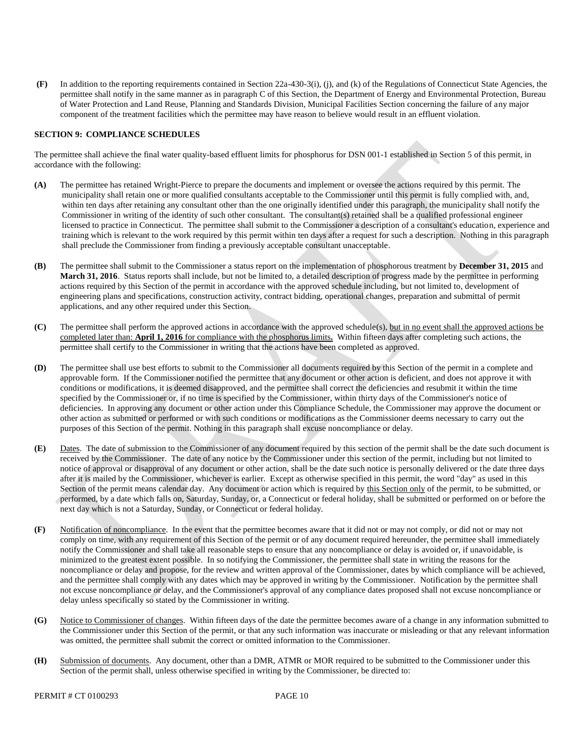$(F)$  permittee shall notify in the same manner as in paragraph C of this Section, the Department of Energy and Environmental Protection, Bureau of Water Protection and Land Reuse, Planning and Standards Division, Municipal Facilities Section concerning the failure of any major component of the treatment facilities which the permittee may have reason to believe would result in an effluent violation. **(F)** In addition to the reporting requirements contained in Section 22a-430-3(i), (j), and (k) of the Regulations of Connecticut State Agencies, the

### **SECTION 9: COMPLIANCE SCHEDULES**

 The permittee shall achieve the final water quality-based effluent limits for phosphorus for DSN 001-1 established in Section 5 of this permit, in accordance with the following:

- **(A)** The permittee has retained Wright-Pierce to prepare the documents and implement or oversee the actions required by this permit. The municipality shall retain one or more qualified consultants acceptable to the Commissioner until this permit is fully complied with, and, within ten days after retaining any consultant other than the one originally identified under this paragraph, the municipality shall notify the Commissioner in writing of the identity of such other consultant. The consultant(s) retained shall be a qualified professional engineer licensed to practice in Connecticut. The permittee shall submit to the Commissioner a description of a consultant's education, experience and training which is relevant to the work required by this permit within ten days after a request for such a description. Nothing in this paragraph shall preclude the Commissioner from finding a previously acceptable consultant unacceptable.
- **(B) March 31, 2016**. Status reports shall include, but not be limited to, a detailed description of progress made by the permittee in performing actions required by this Section of the permit in accordance with the approved schedule including, but not limited to, development of engineering plans and specifications, construction activity, contract bidding, operational changes, preparation and submittal of permit applications, and any other required under this Section. The permittee shall submit to the Commissioner a status report on the implementation of phosphorous treatment by December 31, 2015 and
- **(C)**  completed later than: **April 1, 2016** for compliance with the phosphorus limits**.** Within fifteen days after completing such actions, the permittee shall certify to the Commissioner in writing that the actions have been completed as approved. The permittee shall perform the approved actions in accordance with the approved schedule(s), but in no event shall the approved actions be
- **(D)** approvable form. If the Commissioner notified the permittee that any document or other action is deficient, and does not approve it with conditions or modifications, it is deemed disapproved, and the permittee shall correct the deficiencies and resubmit it within the time specified by the Commissioner or, if no time is specified by the Commissioner, within thirty days of the Commissioner's notice of deficiencies. In approving any document or other action under this Compliance Schedule, the Commissioner may approve the document or other action as submitted or performed or with such conditions or modifications as the Commissioner deems necessary to carry out the purposes of this Section of the permit. Nothing in this paragraph shall excuse noncompliance or delay. The permittee shall use best efforts to submit to the Commissioner all documents required by this Section of the permit in a complete and
- **(E)** received by the Commissioner. The date of any notice by the Commissioner under this section of the permit, including but not limited to notice of approval or disapproval of any document or other action, shall be the date such notice is personally delivered or the date three days after it is mailed by the Commissioner, whichever is earlier. Except as otherwise specified in this permit, the word "day" as used in this Section of the permit means calendar day. Any document or action which is required by this Section only of the permit, to be submitted, or performed, by a date which falls on, Saturday, Sunday, or, a Connecticut or federal holiday, shall be submitted or performed on or before the next day which is not a Saturday, Sunday, or Connecticut or federal holiday. Dates. The date of submission to the Commissioner of any document required by this section of the permit shall be the date such document is
- Notification of noncompliance. In the event that the permittee becomes aware that it did not or may not comply, or did not or may not comply on time, with any requirement of this Section of the permit or of any document required hereunder, the permittee shall immediately notify the Commissioner and shall take all reasonable steps to ensure that any noncompliance or delay is avoided or, if unavoidable, is minimized to the greatest extent possible. In so notifying the Commissioner, the permittee shall state in writing the reasons for the noncompliance or delay and propose, for the review and written approval of the Commissioner, dates by which compliance will be achieved, and the permittee shall comply with any dates which may be approved in writing by the Commissioner. Notification by the permittee shall not excuse noncompliance or delay, and the Commissioner's approval of any compliance dates proposed shall not excuse noncompliance or delay unless specifically so stated by the Commissioner in writing. **(F)**
- **(G)** the Commissioner under this Section of the permit, or that any such information was inaccurate or misleading or that any relevant information was omitted, the permittee shall submit the correct or omitted information to the Commissioner. Notice to Commissioner of changes. Within fifteen days of the date the permittee becomes aware of a change in any information submitted to
- Submission of documents. Any document, other than a DMR, ATMR or MOR required to be submitted to the Commissioner under this Section of the permit shall, unless otherwise specified in writing by the Commissioner, be directed to:**(H)**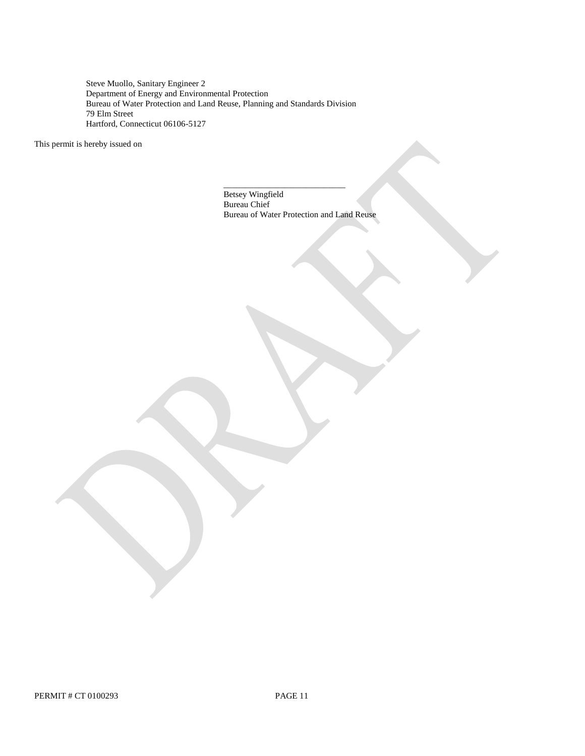Steve Muollo, Sanitary Engineer 2 Department of Energy and Environmental Protection Bureau of Water Protection and Land Reuse, Planning and Standards Division 79 Elm Street Hartford, Connecticut 06106-5127

This permit is hereby issued on

\_\_\_\_\_\_\_\_\_\_\_\_\_\_\_\_\_\_\_\_\_\_\_\_\_\_\_\_ Betsey Wingfield Bureau Chief Bureau of Water Protection and Land Reuse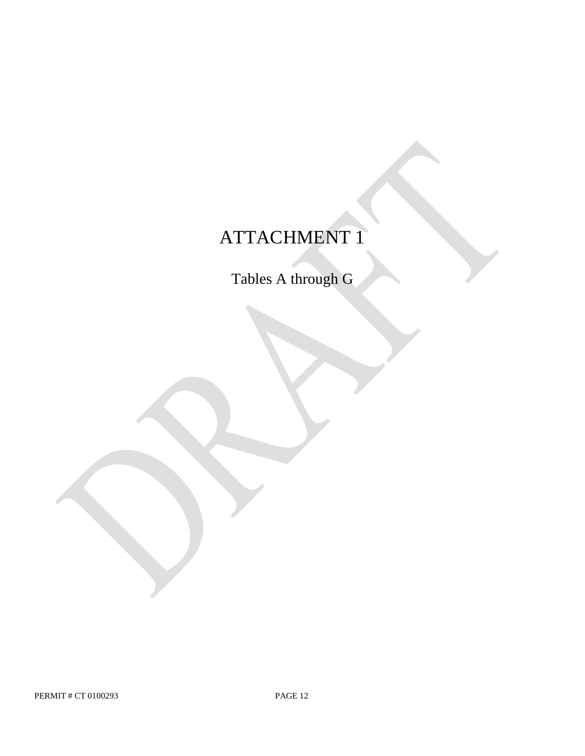# ATTACHMENT 1

Tables A through G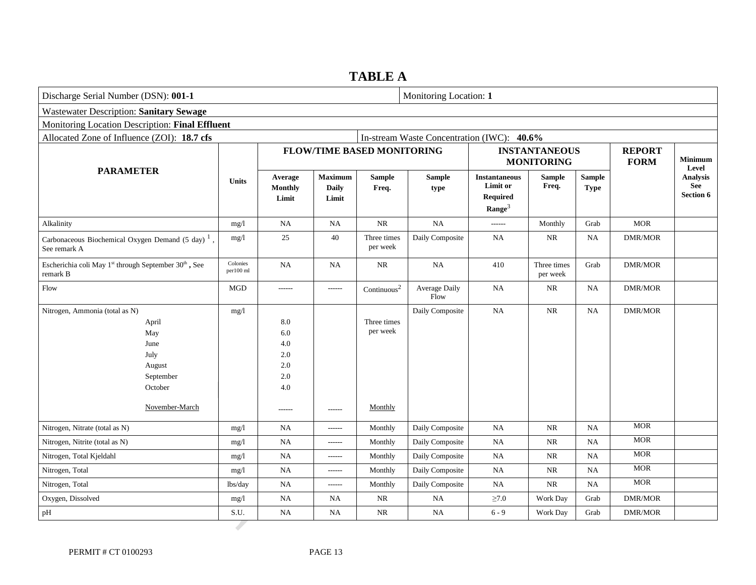### **TABLE A**

| Discharge Serial Number (DSN): 001-1                                                                               | Monitoring Location: 1 |                                                                     |                                         |                                    |                       |                                                                    |                                           |                              |                              |                                            |
|--------------------------------------------------------------------------------------------------------------------|------------------------|---------------------------------------------------------------------|-----------------------------------------|------------------------------------|-----------------------|--------------------------------------------------------------------|-------------------------------------------|------------------------------|------------------------------|--------------------------------------------|
| <b>Wastewater Description: Sanitary Sewage</b>                                                                     |                        |                                                                     |                                         |                                    |                       |                                                                    |                                           |                              |                              |                                            |
| Monitoring Location Description: Final Effluent                                                                    |                        |                                                                     |                                         |                                    |                       |                                                                    |                                           |                              |                              |                                            |
| Allocated Zone of Influence (ZOI): 18.7 cfs<br>In-stream Waste Concentration (IWC): 40.6%                          |                        |                                                                     |                                         |                                    |                       |                                                                    |                                           |                              |                              |                                            |
|                                                                                                                    |                        |                                                                     |                                         | <b>FLOW/TIME BASED MONITORING</b>  |                       |                                                                    | <b>INSTANTANEOUS</b><br><b>MONITORING</b> |                              | <b>REPORT</b><br><b>FORM</b> | <b>Minimum</b><br>Level                    |
| <b>PARAMETER</b>                                                                                                   | Units                  | Average<br>Monthly<br>Limit                                         | <b>Maximum</b><br><b>Daily</b><br>Limit | <b>Sample</b><br>Freq.             | <b>Sample</b><br>type | <b>Instantaneous</b><br>Limit or<br>Required<br>$\textbf{Range}^3$ | <b>Sample</b><br>Freq.                    | <b>Sample</b><br><b>Type</b> |                              | <b>Analysis</b><br>See<br><b>Section 6</b> |
| Alkalinity                                                                                                         | mg/l                   | NA                                                                  | <b>NA</b>                               | $\rm NR$                           | NA                    | ------                                                             | Monthly                                   | Grab                         | <b>MOR</b>                   |                                            |
| Carbonaceous Biochemical Oxygen Demand (5 day) <sup>1</sup> ,<br>See remark A                                      | mg/1                   | 25                                                                  | 40                                      | Three times<br>per week            | Daily Composite       | NA                                                                 | NR                                        | NA                           | <b>DMR/MOR</b>               |                                            |
| Escherichia coli May 1 <sup>st</sup> through September 30 <sup>th</sup> , See<br>remark B                          | Colonies<br>per100 ml  | <b>NA</b>                                                           | <b>NA</b>                               | NR                                 | $_{\rm NA}$           | 410                                                                | Three times<br>per week                   | Grab                         | <b>DMR/MOR</b>               |                                            |
| Flow                                                                                                               | <b>MGD</b>             | ------                                                              | $-----1$                                | $\mbox{Continuous}^2$              | Average Daily<br>Flow | <b>NA</b>                                                          | <b>NR</b>                                 | NA                           | DMR/MOR                      |                                            |
| Nitrogen, Ammonia (total as N)<br>April<br>May<br>June<br>July<br>August<br>September<br>October<br>November-March | mg/l                   | 8.0<br>$6.0\,$<br>4.0<br>2.0<br>$2.0\,$<br>$2.0\,$<br>4.0<br>------ | ------                                  | Three times<br>per week<br>Monthly | Daily Composite       | <b>NA</b>                                                          | <b>NR</b>                                 | NA                           | <b>DMR/MOR</b>               |                                            |
| Nitrogen, Nitrate (total as N)                                                                                     | mg/1                   | <b>NA</b>                                                           | ------                                  | Monthly                            | Daily Composite       | NA                                                                 | $\rm NR$                                  | <b>NA</b>                    | <b>MOR</b>                   |                                            |
| Nitrogen, Nitrite (total as N)                                                                                     | mg/l                   | <b>NA</b>                                                           | $-----1$                                | Monthly                            | Daily Composite       | NA                                                                 | $\rm NR$                                  | NA                           | $\operatorname{MOR}$         |                                            |
| Nitrogen, Total Kjeldahl                                                                                           | mg/1                   | <b>NA</b>                                                           | ------                                  | Monthly                            | Daily Composite       | <b>NA</b>                                                          | $\rm NR$                                  | <b>NA</b>                    | <b>MOR</b>                   |                                            |
| Nitrogen, Total                                                                                                    | mg/1                   | <b>NA</b>                                                           | ------                                  | Monthly                            | Daily Composite       | <b>NA</b>                                                          | $\rm NR$                                  | <b>NA</b>                    | <b>MOR</b>                   |                                            |
| Nitrogen, Total                                                                                                    | lbs/day                | <b>NA</b>                                                           | ------                                  | Monthly                            | Daily Composite       | <b>NA</b>                                                          | $\rm NR$                                  | $_{\rm NA}$                  | $\operatorname{MOR}$         |                                            |
| Oxygen, Dissolved                                                                                                  | mg/l                   | NA                                                                  | <b>NA</b>                               | NR                                 | NA                    | $\geq 7.0$                                                         | Work Day                                  | Grab                         | DMR/MOR                      |                                            |
| pH                                                                                                                 | S.U.                   | <b>NA</b>                                                           | NA                                      | NR                                 | NA                    | $6 - 9$                                                            | Work Day                                  | Grab                         | DMR/MOR                      |                                            |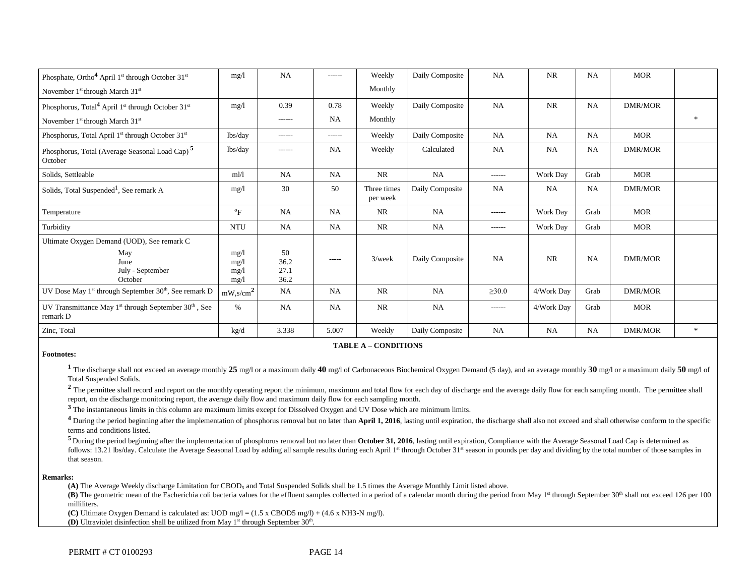| Phosphate, Ortho <sup>4</sup> April 1 <sup>st</sup> through October 31 <sup>st</sup>      | mg/1                         | <b>NA</b>                  | $- - - - - -$ | Weekly                  | Daily Composite | <b>NA</b>     | <b>NR</b>  | <b>NA</b> | <b>MOR</b>     |       |
|-------------------------------------------------------------------------------------------|------------------------------|----------------------------|---------------|-------------------------|-----------------|---------------|------------|-----------|----------------|-------|
| November 1 <sup>st</sup> through March 31 <sup>st</sup>                                   |                              |                            |               | Monthly                 |                 |               |            |           |                |       |
| Phosphorus, Total <sup>4</sup> April 1 <sup>st</sup> through October 31 <sup>st</sup>     | mg/l                         | 0.39                       | 0.78          | Weekly                  | Daily Composite | <b>NA</b>     | NR         | <b>NA</b> | <b>DMR/MOR</b> |       |
| November 1 <sup>st</sup> through March 31 <sup>st</sup>                                   |                              | ------                     | <b>NA</b>     | Monthly                 |                 |               |            |           |                |       |
| Phosphorus, Total April 1 <sup>st</sup> through October 31 <sup>st</sup>                  | lbs/day                      | ------                     | ------        | Weekly                  | Daily Composite | NA            | NA         | <b>NA</b> | <b>MOR</b>     |       |
| Phosphorus, Total (Average Seasonal Load Cap) <sup>5</sup><br>October                     | lbs/day                      | ------                     | <b>NA</b>     | Weekly                  | Calculated      | <b>NA</b>     | NA         | <b>NA</b> | <b>DMR/MOR</b> |       |
| Solids, Settleable                                                                        | m1/1                         | NA                         | <b>NA</b>     | <b>NR</b>               | NA              | $- - - - - -$ | Work Day   | Grab      | <b>MOR</b>     |       |
| Solids, Total Suspended <sup>1</sup> , See remark A                                       | mg/1                         | 30                         | 50            | Three times<br>per week | Daily Composite | <b>NA</b>     | NA         | NA        | DMR/MOR        |       |
| Temperature                                                                               | $\mathrm{P}_{\mathrm{F}}$    | NA                         | <b>NA</b>     | NR                      | NA              | ------        | Work Day   | Grab      | <b>MOR</b>     |       |
| Turbidity                                                                                 | <b>NTU</b>                   | <b>NA</b>                  | NA            | <b>NR</b>               | NA              | $-----1$      | Work Day   | Grab      | <b>MOR</b>     |       |
| Ultimate Oxygen Demand (UOD), See remark C                                                |                              |                            |               |                         |                 |               |            |           |                |       |
| May<br>June<br>July - September<br>October                                                | mg/1<br>mg/1<br>mg/1<br>mg/l | 50<br>36.2<br>27.1<br>36.2 | $--- -$       | $3$ /week               | Daily Composite | <b>NA</b>     | NR         | NA        | <b>DMR/MOR</b> |       |
| UV Dose May 1 <sup>st</sup> through September 30 <sup>th</sup> , See remark D             | $mW$ ,s/cm <sup>2</sup>      | NA                         | NA            | <b>NR</b>               | NA              | $\geq 30.0$   | 4/Work Day | Grab      | <b>DMR/MOR</b> |       |
| UV Transmittance May 1 <sup>st</sup> through September 30 <sup>th</sup> , See<br>remark D | $\%$                         | <b>NA</b>                  | NA            | <b>NR</b>               | NA              | $- - - - - -$ | 4/Work Day | Grab      | MOR            |       |
| Zinc, Total                                                                               | kg/d                         | 3.338                      | 5.007         | Weekly                  | Daily Composite | <b>NA</b>     | <b>NA</b>  | <b>NA</b> | <b>DMR/MOR</b> | $\gg$ |

#### **TABLE A – CONDITIONS**

#### **Footnotes:**

<sup>1</sup> The discharge shall not exceed an average monthly 25 mg/l or a maximum daily 40 mg/l of Carbonaceous Biochemical Oxygen Demand (5 day), and an average monthly 30 mg/l or a maximum daily 50 mg/l of Total Suspended Solids.

<sup>2</sup> The permittee shall record and report on the monthly operating report the minimum, maximum and total flow for each day of discharge and the average daily flow for each sampling month. The permittee shall report, on the discharge monitoring report, the average daily flow and maximum daily flow for each sampling month.

**<sup>3</sup>**The instantaneous limits in this column are maximum limits except for Dissolved Oxygen and UV Dose which are minimum limits.

 $4$  During the period beginning after the implementation of phosphorus removal but no later than April 1, 2016, lasting until expiration, the discharge shall also not exceed and shall otherwise conform to the specific terms and conditions listed.

<sup>5</sup> During the period beginning after the implementation of phosphorus removal but no later than **October 31, 2016**, lasting until expiration, Compliance with the Average Seasonal Load Cap is determined as follows: 13.21 lbs/day. Calculate the Average Seasonal Load by adding all sample results during each April 1<sup>st</sup> through October 31st season in pounds per day and dividing by the total number of those samples in that season.

#### **Remarks:**

(A) The Average Weekly discharge Limitation for CBOD<sub>5</sub> and Total Suspended Solids shall be 1.5 times the Average Monthly Limit listed above.

(B) The geometric mean of the Escherichia coli bacteria values for the effluent samples collected in a period of a calendar month during the period from May 1<sup>st</sup> through September 30<sup>th</sup> shall not exceed 126 per 100 milliliters.

**(C)** Ultimate Oxygen Demand is calculated as: UOD mg/l = (1.5 x CBOD5 mg/l) + (4.6 x NH3-N mg/l).

**(D)** Ultraviolet disinfection shall be utilized from May 1<sup>st</sup> through September 30<sup>th</sup>.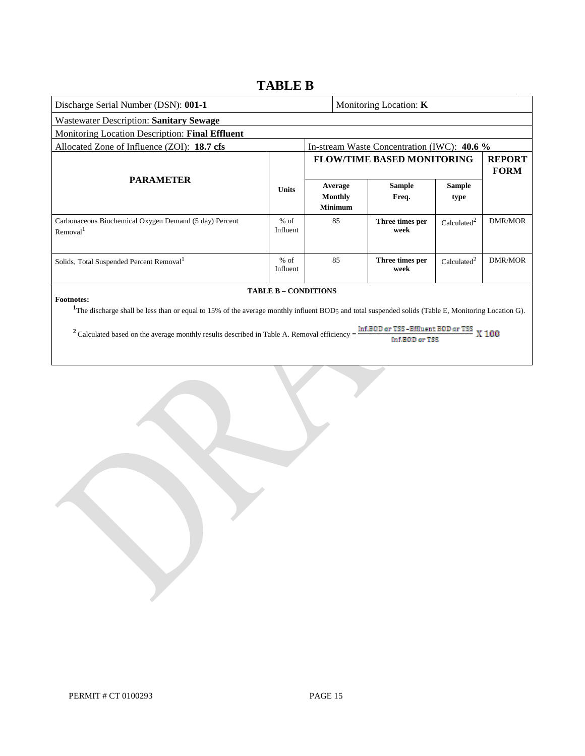## **TABLE B**

| Discharge Serial Number (DSN): 001-1                                                                                                                                                                                                                                  |                    |  | Monitoring Location: <b>K</b>        |                                             |                         |                              |  |  |
|-----------------------------------------------------------------------------------------------------------------------------------------------------------------------------------------------------------------------------------------------------------------------|--------------------|--|--------------------------------------|---------------------------------------------|-------------------------|------------------------------|--|--|
| <b>Wastewater Description: Sanitary Sewage</b>                                                                                                                                                                                                                        |                    |  |                                      |                                             |                         |                              |  |  |
| Monitoring Location Description: Final Effluent                                                                                                                                                                                                                       |                    |  |                                      |                                             |                         |                              |  |  |
| Allocated Zone of Influence (ZOI): 18.7 cfs                                                                                                                                                                                                                           |                    |  |                                      | In-stream Waste Concentration (IWC): 40.6 % |                         |                              |  |  |
|                                                                                                                                                                                                                                                                       |                    |  |                                      | <b>FLOW/TIME BASED MONITORING</b>           |                         | <b>REPORT</b><br><b>FORM</b> |  |  |
| <b>PARAMETER</b>                                                                                                                                                                                                                                                      | <b>Units</b>       |  | Average<br>Monthly<br><b>Minimum</b> | <b>Sample</b><br>Freq.                      | <b>Sample</b><br>type   |                              |  |  |
| Carbonaceous Biochemical Oxygen Demand (5 day) Percent<br>Removal <sup>1</sup>                                                                                                                                                                                        | $%$ of<br>Influent |  | 85                                   | Three times per<br>week                     | Calculated <sup>2</sup> | DMR/MOR                      |  |  |
| Solids, Total Suspended Percent Removal <sup>1</sup>                                                                                                                                                                                                                  | $%$ of<br>Influent |  | 85                                   | Three times per<br>week                     | Calculated <sup>2</sup> | <b>DMR/MOR</b>               |  |  |
| <b>TABLE B - CONDITIONS</b><br><b>Footnotes:</b><br><sup>1</sup> The discharge shall be less than or equal to 15% of the average monthly influent BOD <sub>5</sub> and total suspended solids (Table E, Monitoring Location G).<br>Inf.BOD or TSS-Effluent BOD or TSS |                    |  |                                      |                                             |                         |                              |  |  |
| $2$ Calculated based on the average monthly results described in Table A. Removal efficiency =<br>X 100<br>Inf.BOD or TSS                                                                                                                                             |                    |  |                                      |                                             |                         |                              |  |  |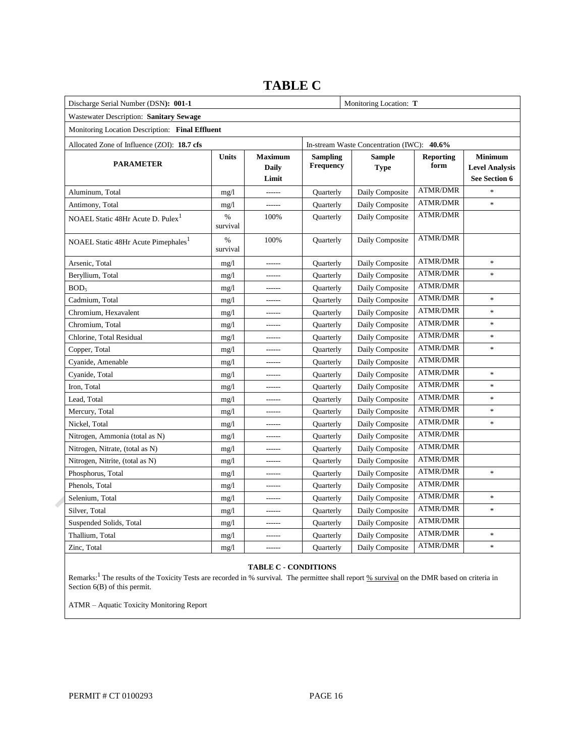| Discharge Serial Number (DSN): 001-1            |                  | Monitoring Location: T           |                                     |                                            |                                          |                                                          |
|-------------------------------------------------|------------------|----------------------------------|-------------------------------------|--------------------------------------------|------------------------------------------|----------------------------------------------------------|
| Wastewater Description: Sanitary Sewage         |                  |                                  |                                     |                                            |                                          |                                                          |
| Monitoring Location Description: Final Effluent |                  |                                  |                                     |                                            |                                          |                                                          |
| Allocated Zone of Influence (ZOI): 18.7 cfs     |                  |                                  |                                     | In-stream Waste Concentration (IWC): 40.6% |                                          |                                                          |
| <b>PARAMETER</b>                                | Units            | <b>Maximum</b><br>Daily<br>Limit | <b>Sampling</b><br><b>Frequency</b> | <b>Sample</b><br><b>Type</b>               | <b>Reporting</b><br>form                 | <b>Minimum</b><br><b>Level Analysis</b><br>See Section 6 |
| Aluminum, Total                                 | mg/1             | ------                           | Quarterly                           | Daily Composite                            | <b>ATMR/DMR</b>                          | $\frac{1}{2}$                                            |
| Antimony, Total                                 | mg/1             | ------                           | Quarterly                           | Daily Composite                            | <b>ATMR/DMR</b>                          | $\ast$                                                   |
| NOAEL Static 48Hr Acute D. Pulex <sup>1</sup>   | $\%$<br>survival | 100%                             | <b>Ouarterly</b>                    | Daily Composite                            | <b>ATMR/DMR</b>                          |                                                          |
| NOAEL Static 48Hr Acute Pimephales <sup>1</sup> | %<br>survival    | 100%                             | Quarterly                           | Daily Composite                            | <b>ATMR/DMR</b>                          |                                                          |
| Arsenic, Total                                  | mg/1             | ------                           | Quarterly                           | Daily Composite                            | <b>ATMR/DMR</b>                          | $\ast$                                                   |
| Beryllium, Total                                | mg/1             |                                  | Quarterly                           | Daily Composite                            | <b>ATMR/DMR</b>                          | $\ast$                                                   |
| BOD <sub>5</sub>                                | mg/1             | ------                           | Quarterly                           | Daily Composite                            | <b>ATMR/DMR</b>                          |                                                          |
| Cadmium, Total                                  | mg/1             | ------                           | <b>Ouarterly</b>                    | Daily Composite                            | <b>ATMR/DMR</b>                          | $\ast$                                                   |
| Chromium, Hexavalent                            | mg/1             | ------                           | Quarterly                           | Daily Composite                            | <b>ATMR/DMR</b>                          | $\ast$                                                   |
| Chromium, Total                                 | mg/1             | ------                           | <b>Ouarterly</b>                    | Daily Composite                            | <b>ATMR/DMR</b>                          | $\ast$                                                   |
| Chlorine, Total Residual                        | mg/1             | ------                           | Quarterly                           | Daily Composite                            | <b>ATMR/DMR</b>                          | $\ast$                                                   |
| Copper, Total                                   | mg/1             | ------                           | Quarterly                           | Daily Composite                            | <b>ATMR/DMR</b>                          | $\ast$                                                   |
| Cyanide, Amenable                               | mg/1             | ------                           | Quarterly                           | Daily Composite                            | <b>ATMR/DMR</b>                          |                                                          |
| Cyanide, Total                                  | mg/1             | ------                           | Quarterly                           | Daily Composite                            | <b>ATMR/DMR</b>                          | $\ast$                                                   |
| Iron, Total                                     | mg/1             | ------                           | Quarterly                           | Daily Composite                            | <b>ATMR/DMR</b>                          | $\ast$                                                   |
| Lead, Total                                     | mg/1             | ------                           | Quarterly                           | Daily Composite                            | <b>ATMR/DMR</b>                          | $\ast$                                                   |
| Mercury, Total                                  | mg/1             | ------                           | Quarterly                           | Daily Composite                            | <b>ATMR/DMR</b>                          | $\ast$                                                   |
| Nickel, Total                                   | mg/1             | ------                           | Quarterly                           | Daily Composite                            | <b>ATMR/DMR</b>                          | $\ast$                                                   |
| Nitrogen, Ammonia (total as N)                  | mg/1             | ------                           | Quarterly                           | Daily Composite                            | <b>ATMR/DMR</b>                          |                                                          |
| Nitrogen, Nitrate, (total as N)                 | mg/l             | ------                           | Quarterly                           | Daily Composite                            | <b>ATMR/DMR</b>                          |                                                          |
| Nitrogen, Nitrite, (total as N)                 | mg/1             | ------                           | Quarterly                           | Daily Composite                            | <b>ATMR/DMR</b>                          |                                                          |
| Phosphorus, Total                               | mg/1             | ------                           | Quarterly                           | Daily Composite                            | <b>ATMR/DMR</b>                          | $\ast$                                                   |
| Phenols, Total                                  | mg/1             | ------                           | Quarterly                           | Daily Composite                            | $\operatorname{ATMR}/\operatorname{DMR}$ |                                                          |
| Selenium, Total                                 | mg/1             | ------                           | Quarterly                           | Daily Composite                            | <b>ATMR/DMR</b>                          | $\ast$                                                   |
| Silver, Total                                   | mg/1             | ------                           | Quarterly                           | Daily Composite                            | <b>ATMR/DMR</b>                          | $\ast$                                                   |
| Suspended Solids, Total                         | mg/1             | ------                           | Quarterly                           | Daily Composite                            | <b>ATMR/DMR</b>                          |                                                          |
| Thallium, Total                                 | mg/1             | ------                           | Quarterly                           | Daily Composite                            | <b>ATMR/DMR</b>                          | $\ast$                                                   |
| Zinc, Total                                     | mg/1             | ------                           | Quarterly                           | Daily Composite                            | ATMR/DMR                                 | $\ast$                                                   |

## **TABLE C**

### **TABLE C - CONDITIONS**

i. Remarks: <sup>1</sup> The results of the Toxicity Tests are recorded in % survival. The permittee shall report  $\frac{96}{2}$  survival on the DMR based on criteria in Section 6(B) of this permit.

ATMR – Aquatic Toxicity Monitoring Report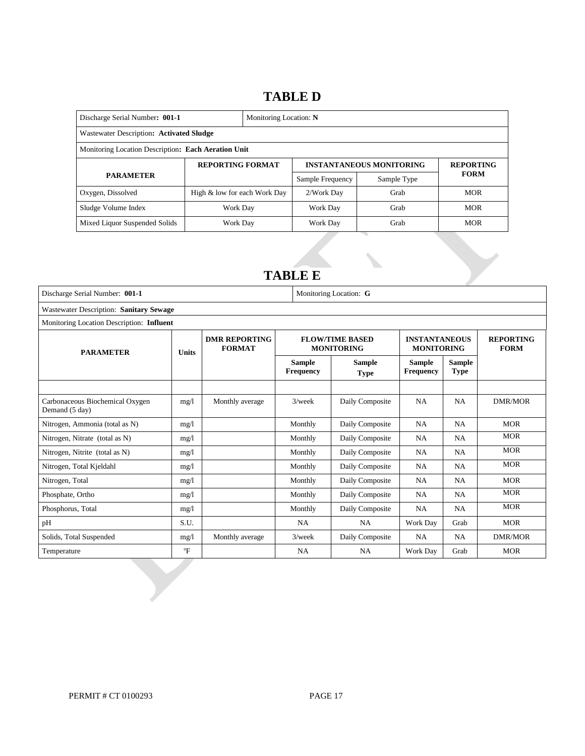### **TABLE D**

| Discharge Serial Number: 001-1<br>Monitoring Location: N |                              |  |                                 |                  |             |  |  |
|----------------------------------------------------------|------------------------------|--|---------------------------------|------------------|-------------|--|--|
| Wastewater Description: Activated Sludge                 |                              |  |                                 |                  |             |  |  |
| Monitoring Location Description: Each Aeration Unit      |                              |  |                                 |                  |             |  |  |
|                                                          | <b>REPORTING FORMAT</b>      |  | <b>INSTANTANEOUS MONITORING</b> | <b>REPORTING</b> |             |  |  |
| <b>PARAMETER</b>                                         |                              |  | Sample Frequency                | Sample Type      | <b>FORM</b> |  |  |
| Oxygen, Dissolved                                        | High & low for each Work Day |  | 2/Work Dav                      | Grab             | <b>MOR</b>  |  |  |
| Sludge Volume Index                                      | Work Day                     |  | Work Dav                        | Grab             | <b>MOR</b>  |  |  |
| Mixed Liquor Suspended Solids                            | Work Day                     |  | Work Day                        | Grab             | <b>MOR</b>  |  |  |

### **TABLE E**

| Discharge Serial Number: 001-1                    |              | Monitoring Location: G                |                                   |                                             |                                           |                              |                                 |  |
|---------------------------------------------------|--------------|---------------------------------------|-----------------------------------|---------------------------------------------|-------------------------------------------|------------------------------|---------------------------------|--|
| Wastewater Description: Sanitary Sewage           |              |                                       |                                   |                                             |                                           |                              |                                 |  |
| Monitoring Location Description: Influent         |              |                                       |                                   |                                             |                                           |                              |                                 |  |
| <b>PARAMETER</b>                                  | <b>Units</b> | <b>DMR REPORTING</b><br><b>FORMAT</b> |                                   | <b>FLOW/TIME BASED</b><br><b>MONITORING</b> | <b>INSTANTANEOUS</b><br><b>MONITORING</b> |                              | <b>REPORTING</b><br><b>FORM</b> |  |
|                                                   |              |                                       | <b>Sample</b><br><b>Frequency</b> | <b>Sample</b><br><b>Type</b>                | <b>Sample</b><br><b>Frequency</b>         | <b>Sample</b><br><b>Type</b> |                                 |  |
| Carbonaceous Biochemical Oxygen<br>Demand (5 day) | mg/1         | Monthly average                       | $3$ /week                         | Daily Composite                             | <b>NA</b>                                 | <b>NA</b>                    | <b>DMR/MOR</b>                  |  |
| Nitrogen, Ammonia (total as N)                    | mg/1         |                                       | Monthly                           | Daily Composite                             | <b>NA</b>                                 | <b>NA</b>                    | <b>MOR</b>                      |  |
| Nitrogen, Nitrate (total as N)                    | mg/1         |                                       | Monthly                           | Daily Composite                             | <b>NA</b>                                 | <b>NA</b>                    | <b>MOR</b>                      |  |
| Nitrogen, Nitrite (total as N)                    | mg/1         |                                       | Monthly                           | Daily Composite                             | <b>NA</b>                                 | <b>NA</b>                    | <b>MOR</b>                      |  |
| Nitrogen, Total Kjeldahl                          | mg/1         |                                       | Monthly                           | Daily Composite                             | NA.                                       | NA                           | <b>MOR</b>                      |  |
| Nitrogen, Total                                   | mg/1         |                                       | Monthly                           | Daily Composite                             | <b>NA</b>                                 | <b>NA</b>                    | <b>MOR</b>                      |  |
| Phosphate, Ortho                                  | mg/1         |                                       | Monthly                           | Daily Composite                             | NA.                                       | <b>NA</b>                    | <b>MOR</b>                      |  |
| Phosphorus, Total                                 | mg/1         |                                       | Monthly                           | Daily Composite                             | NA.                                       | <b>NA</b>                    | <b>MOR</b>                      |  |
| pH                                                | S.U.         |                                       | <b>NA</b>                         | <b>NA</b>                                   | Work Day                                  | Grab                         | <b>MOR</b>                      |  |
| Solids, Total Suspended                           | mg/1         | Monthly average                       | $3$ /week                         | Daily Composite                             | NA.                                       | NA                           | <b>DMR/MOR</b>                  |  |
| Temperature                                       | $\mathrm{P}$ |                                       | <b>NA</b>                         | <b>NA</b>                                   | Work Day                                  | Grab                         | <b>MOR</b>                      |  |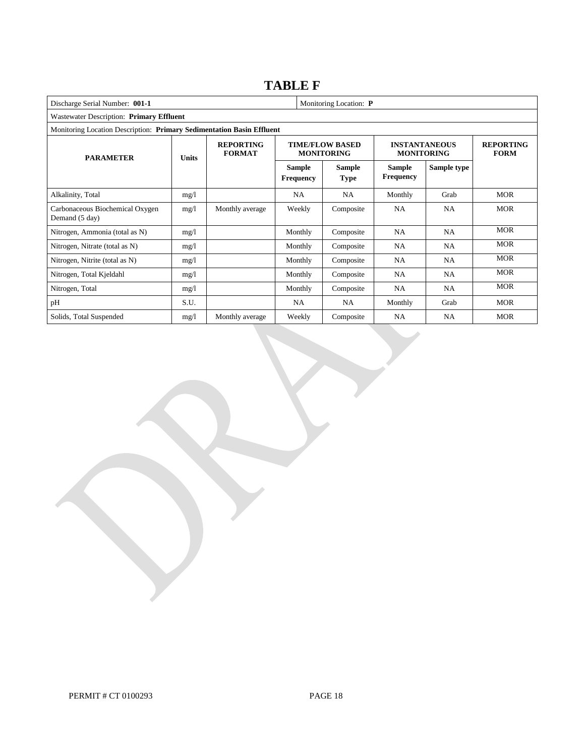## **TABLE F**

| Discharge Serial Number: 001-1<br>Monitoring Location: P |                                                                       |                                            |                            |                                             |                                           |                                 |            |  |  |  |
|----------------------------------------------------------|-----------------------------------------------------------------------|--------------------------------------------|----------------------------|---------------------------------------------|-------------------------------------------|---------------------------------|------------|--|--|--|
| Wastewater Description: Primary Effluent                 |                                                                       |                                            |                            |                                             |                                           |                                 |            |  |  |  |
|                                                          | Monitoring Location Description: Primary Sedimentation Basin Effluent |                                            |                            |                                             |                                           |                                 |            |  |  |  |
| <b>PARAMETER</b>                                         |                                                                       | <b>REPORTING</b><br><b>FORMAT</b><br>Units |                            | <b>TIME/FLOW BASED</b><br><b>MONITORING</b> | <b>INSTANTANEOUS</b><br><b>MONITORING</b> | <b>REPORTING</b><br><b>FORM</b> |            |  |  |  |
|                                                          |                                                                       |                                            | Sample<br><b>Frequency</b> | <b>Sample</b><br><b>Type</b>                | Sample<br><b>Frequency</b>                | Sample type                     |            |  |  |  |
| Alkalinity, Total                                        | mg/1                                                                  |                                            | <b>NA</b>                  | <b>NA</b>                                   | Monthly                                   | Grab                            | <b>MOR</b> |  |  |  |
| Carbonaceous Biochemical Oxygen<br>Demand (5 day)        | mg/1                                                                  | Monthly average                            | Weekly                     | Composite                                   | <b>NA</b>                                 | <b>NA</b>                       | <b>MOR</b> |  |  |  |
| Nitrogen, Ammonia (total as N)                           | mg/1                                                                  |                                            | Monthly                    | Composite                                   | NA                                        | <b>NA</b>                       | <b>MOR</b> |  |  |  |
| Nitrogen, Nitrate (total as N)                           | mg/1                                                                  |                                            | Monthly                    | Composite                                   | NA                                        | <b>NA</b>                       | <b>MOR</b> |  |  |  |
| Nitrogen, Nitrite (total as N)                           | mg/1                                                                  |                                            | Monthly                    | Composite                                   | <b>NA</b>                                 | <b>NA</b>                       | <b>MOR</b> |  |  |  |
| Nitrogen, Total Kjeldahl                                 | mg/l                                                                  |                                            | Monthly                    | Composite                                   | <b>NA</b>                                 | <b>NA</b>                       | <b>MOR</b> |  |  |  |
| Nitrogen, Total                                          | mg/l                                                                  |                                            | Monthly                    | Composite                                   | <b>NA</b>                                 | <b>NA</b>                       | <b>MOR</b> |  |  |  |
| pH                                                       | S.U.                                                                  |                                            | <b>NA</b>                  | <b>NA</b>                                   | Monthly                                   | Grab                            | <b>MOR</b> |  |  |  |
| Solids, Total Suspended                                  | mg/1                                                                  | Monthly average                            | Weekly                     | Composite                                   | <b>NA</b>                                 | <b>NA</b>                       | <b>MOR</b> |  |  |  |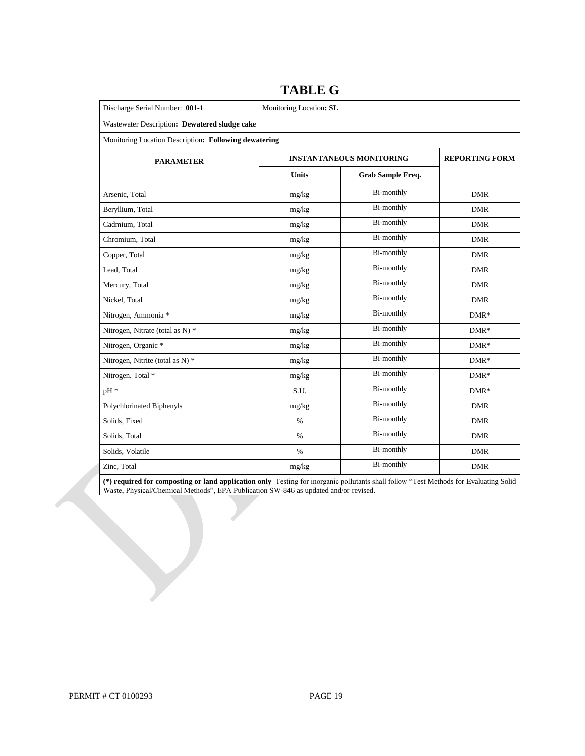| Discharge Serial Number: 001-1                        | Monitoring Location: SL |                                 |                       |  |  |  |  |
|-------------------------------------------------------|-------------------------|---------------------------------|-----------------------|--|--|--|--|
| Wastewater Description: Dewatered sludge cake         |                         |                                 |                       |  |  |  |  |
| Monitoring Location Description: Following dewatering |                         |                                 |                       |  |  |  |  |
| <b>PARAMETER</b>                                      |                         | <b>INSTANTANEOUS MONITORING</b> | <b>REPORTING FORM</b> |  |  |  |  |
|                                                       | <b>Units</b>            | Grab Sample Freq.               |                       |  |  |  |  |
| Arsenic, Total                                        | mg/kg                   | Bi-monthly                      | <b>DMR</b>            |  |  |  |  |
| Beryllium, Total                                      | mg/kg                   | <b>Bi-monthly</b>               | <b>DMR</b>            |  |  |  |  |
| Cadmium, Total                                        | mg/kg                   | Bi-monthly                      | <b>DMR</b>            |  |  |  |  |
| Chromium, Total                                       | mg/kg                   | Bi-monthly                      | <b>DMR</b>            |  |  |  |  |
| Copper, Total                                         | mg/kg                   | Bi-monthly                      | <b>DMR</b>            |  |  |  |  |
| Lead, Total                                           | mg/kg                   | Bi-monthly                      | <b>DMR</b>            |  |  |  |  |
| Mercury, Total                                        | mg/kg                   | Bi-monthly                      | <b>DMR</b>            |  |  |  |  |
| Nickel, Total                                         | mg/kg                   | <b>Bi-monthly</b>               | <b>DMR</b>            |  |  |  |  |
| Nitrogen, Ammonia *                                   | mg/kg                   | Bi-monthly                      | $DMR*$                |  |  |  |  |
| Nitrogen, Nitrate (total as N) *                      | mg/kg                   | Bi-monthly                      | $DMR*$                |  |  |  |  |
| Nitrogen, Organic *                                   | mg/kg                   | Bi-monthly                      | $DMR*$                |  |  |  |  |
| Nitrogen, Nitrite (total as N) *                      | mg/kg                   | Bi-monthly                      | $DMR*$                |  |  |  |  |
| Nitrogen, Total *                                     | mg/kg                   | Bi-monthly                      | $DMR*$                |  |  |  |  |
| pH *                                                  | S.U.                    | Bi-monthly                      | $DMR*$                |  |  |  |  |
| Polychlorinated Biphenyls                             | mg/kg                   | Bi-monthly                      | <b>DMR</b>            |  |  |  |  |
| Solids, Fixed                                         | $\%$                    | <b>Bi-monthly</b>               | <b>DMR</b>            |  |  |  |  |
| Solids, Total                                         | $\%$                    | Bi-monthly                      | <b>DMR</b>            |  |  |  |  |
| Solids, Volatile                                      | $\%$                    | Bi-monthly                      | <b>DMR</b>            |  |  |  |  |
| Zinc, Total                                           | mg/kg                   | Bi-monthly                      | <b>DMR</b>            |  |  |  |  |

### **TABLE G**

**(\*) required for composting or land application only** Testing for inorganic pollutants shall follow "Test Methods for Evaluating Solid Waste, Physical/Chemical Methods", EPA Publication SW-846 as updated and/or revised.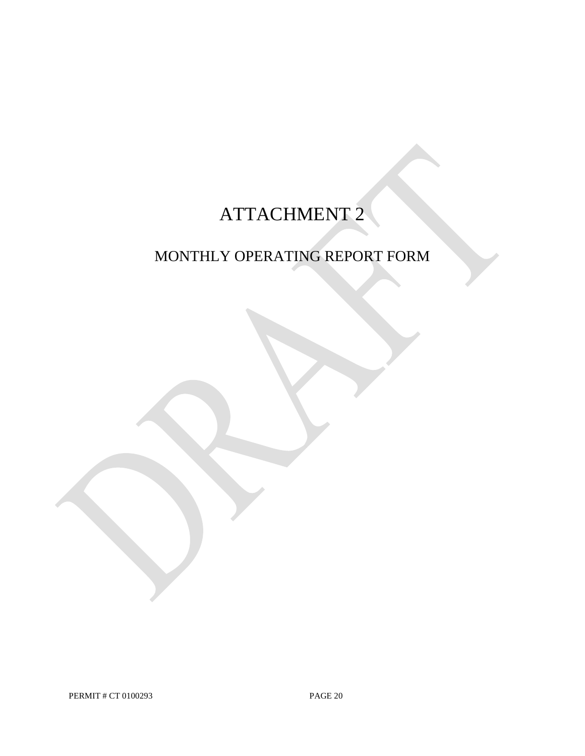# ATTACHMENT 2

# MONTHLY OPERATING REPORT FORM

PERMIT # CT 0100293 PAGE 20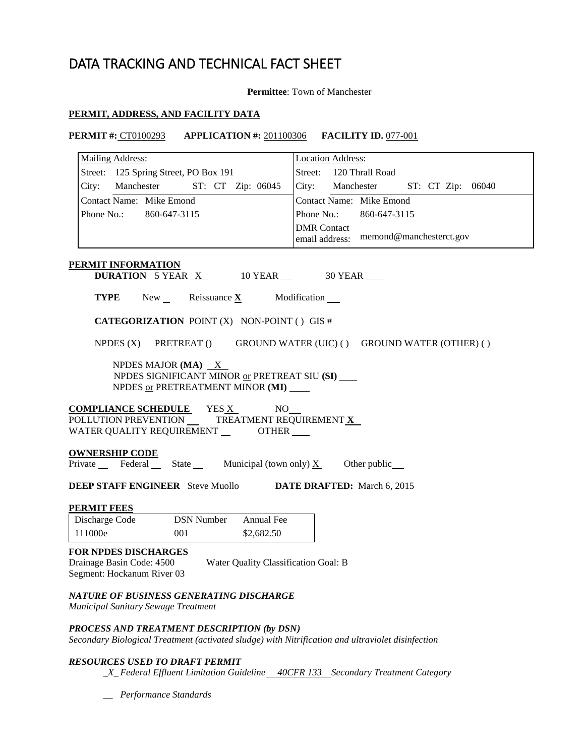# DATA TRACKING AND TECHNICAL FACT SHEET

### **Permittee**: Town of Manchester

### **PERMIT, ADDRESS, AND FACILITY DATA**

### **PERMIT #:** CT0100293 **APPLICATION #:** 201100306 **FACILITY ID.** 077-001

| <b>Mailing Address:</b>                                                                                                                         | <b>Location Address:</b>                                            |  |  |  |  |  |  |
|-------------------------------------------------------------------------------------------------------------------------------------------------|---------------------------------------------------------------------|--|--|--|--|--|--|
| Street: 125 Spring Street, PO Box 191                                                                                                           | Street:<br>120 Thrall Road                                          |  |  |  |  |  |  |
| City: Manchester ST: CT Zip: 06045                                                                                                              | City: Manchester ST: CT Zip: 06040                                  |  |  |  |  |  |  |
| Contact Name: Mike Emond                                                                                                                        | Contact Name: Mike Emond                                            |  |  |  |  |  |  |
| Phone No.: 860-647-3115                                                                                                                         | Phone No.: 860-647-3115                                             |  |  |  |  |  |  |
|                                                                                                                                                 | <b>DMR</b> Contact<br>email address: memond@manchesterct.gov        |  |  |  |  |  |  |
| <b>PERMIT INFORMATION</b>                                                                                                                       |                                                                     |  |  |  |  |  |  |
| <b>DURATION</b> 5 YEAR $X$ 10 YEAR $\_\$ 30 YEAR                                                                                                |                                                                     |  |  |  |  |  |  |
| <b>TYPE</b> New Reissuance $\underline{\mathbf{X}}$ Modification                                                                                |                                                                     |  |  |  |  |  |  |
| <b>CATEGORIZATION POINT (X) NON-POINT () GIS #</b>                                                                                              |                                                                     |  |  |  |  |  |  |
|                                                                                                                                                 | NPDES (X) PRETREAT () GROUND WATER (UIC) () GROUND WATER (OTHER) () |  |  |  |  |  |  |
| NPDES MAJOR (MA) $X$<br>NPDES SIGNIFICANT MINOR or PRETREAT SIU (SI)<br>NPDES <u>or</u> PRETREATMENT MINOR (MI)                                 |                                                                     |  |  |  |  |  |  |
| <b>COMPLIANCE SCHEDULE</b> YES X<br>NO<br>POLLUTION PREVENTION TREATMENT REQUIREMENT X<br>WATER QUALITY REQUIREMENT ________ OTHER ____         |                                                                     |  |  |  |  |  |  |
| <b>OWNERSHIP CODE</b><br>Private $\text{Federal}$ State Municipal (town only) $\underline{X}$ Other public                                      |                                                                     |  |  |  |  |  |  |
| <b>DEEP STAFF ENGINEER</b> Steve Muollo <b>DATE DRAFTED:</b> March 6, 2015                                                                      |                                                                     |  |  |  |  |  |  |
| <b>PERMIT FEES</b>                                                                                                                              |                                                                     |  |  |  |  |  |  |
| <b>DSN Number</b><br>Annual Fee<br>Discharge Code                                                                                               |                                                                     |  |  |  |  |  |  |
| 111000e<br>001<br>\$2,682.50                                                                                                                    |                                                                     |  |  |  |  |  |  |
| <b>FOR NPDES DISCHARGES</b><br>Drainage Basin Code: 4500<br>Water Quality Classification Goal: B<br>Segment: Hockanum River 03                  |                                                                     |  |  |  |  |  |  |
| NATURE OF BUSINESS GENERATING DISCHARGE<br>Municipal Sanitary Sewage Treatment                                                                  |                                                                     |  |  |  |  |  |  |
| PROCESS AND TREATMENT DESCRIPTION (by DSN)<br>Secondary Biological Treatment (activated sludge) with Nitrification and ultraviolet disinfection |                                                                     |  |  |  |  |  |  |
| <b>RESOURCES USED TO DRAFT PERMIT</b><br>_X_Federal Effluent Limitation Guideline__40CFR 133_Secondary Treatment Category                       |                                                                     |  |  |  |  |  |  |

 *\_\_ Performance Standards*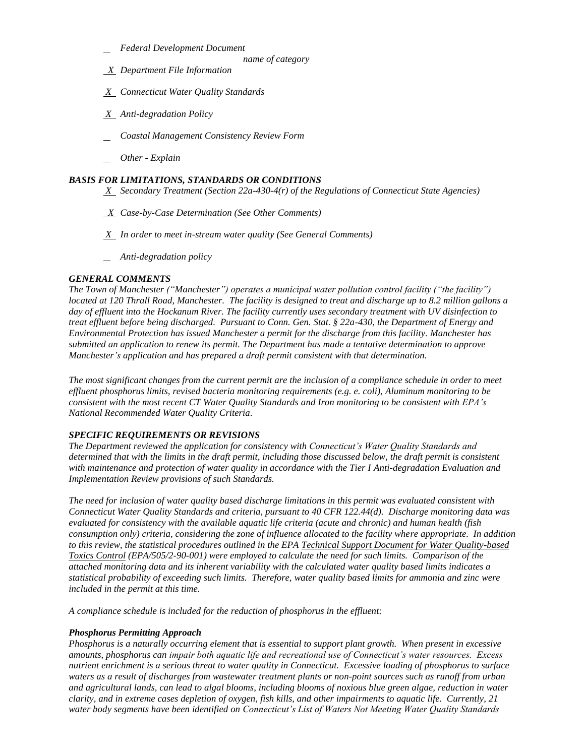- *Federal Development Document* 
	- *name of category*
- *X Department File Information*
- *X Connecticut Water Quality Standards*
- *X Anti-degradation Policy*
- *Coastal Management Consistency Review Form*
- *Other Explain*

### *BASIS FOR LIMITATIONS, STANDARDS OR CONDITIONS*

 *X Secondary Treatment (Section 22a-430-4(r) of the Regulations of Connecticut State Agencies)* 

- *X Case-by-Case Determination (See Other Comments)*
- *X In order to meet in-stream water quality (See General Comments)*
- *Anti-degradation policy*

### *GENERAL COMMENTS*

 *located at 120 Thrall Road, Manchester. The facility is designed to treat and discharge up to 8.2 million gallons a*  day of effluent into the Hockanum River. The facility currently uses secondary treatment with UV disinfection to  *treat effluent before being discharged. Pursuant to Conn. Gen. Stat. § 22a-430, the Department of Energy and Environmental Protection has issued Manchester a permit for the discharge from this facility. Manchester has submitted an application to renew its permit. The Department has made a tentative determination to approve Manchester's application and has prepared a draft permit consistent with that determination. The Town of Manchester ("Manchester") operates a municipal water pollution control facility ("the facility")* 

The most significant changes from the current permit are the inclusion of a compliance schedule in order to meet  *effluent phosphorus limits, revised bacteria monitoring requirements (e.g. e. coli), Aluminum monitoring to be consistent with the most recent CT Water Quality Standards and Iron monitoring to be consistent with EPA's National Recommended Water Quality Criteria.* 

### *SPECIFIC REQUIREMENTS OR REVISIONS*

 *The Department reviewed the application for consistency with Connecticut's Water Quality Standards and*  determined that with the limits in the draft permit, including those discussed below, the draft permit is consistent with maintenance and protection of water quality in accordance with the Tier I Anti-degradation Evaluation and  *Implementation Review provisions of such Standards.* 

 *The need for inclusion of water quality based discharge limitations in this permit was evaluated consistent with Connecticut Water Quality Standards and criteria, pursuant to 40 CFR 122.44(d). Discharge monitoring data was evaluated for consistency with the available aquatic life criteria (acute and chronic) and human health (fish consumption only) criteria, considering the zone of influence allocated to the facility where appropriate. In addition to this review, the statistical procedures outlined in the EPA Technical Support Document for Water Quality-based Toxics Control (EPA/505/2-90-001) were employed to calculate the need for such limits. Comparison of the attached monitoring data and its inherent variability with the calculated water quality based limits indicates a statistical probability of exceeding such limits. Therefore, water quality based limits for ammonia and zinc were included in the permit at this time.* 

 *A compliance schedule is included for the reduction of phosphorus in the effluent:* 

### *Phosphorus Permitting Approach*

 *Phosphorus is a naturally occurring element that is essential to support plant growth. When present in excessive amounts, phosphorus can impair both aquatic life and recreational use of Connecticut's water resources. Excess nutrient enrichment is a serious threat to water quality in Connecticut. Excessive loading of phosphorus to surface waters as a result of discharges from wastewater treatment plants or non-point sources such as runoff from urban and agricultural lands, can lead to algal blooms, including blooms of noxious blue green algae, reduction in water clarity, and in extreme cases depletion of oxygen, fish kills, and other impairments to aquatic life. Currently, 21 water body segments have been identified on Connecticut's List of Waters Not Meeting Water Quality Standards*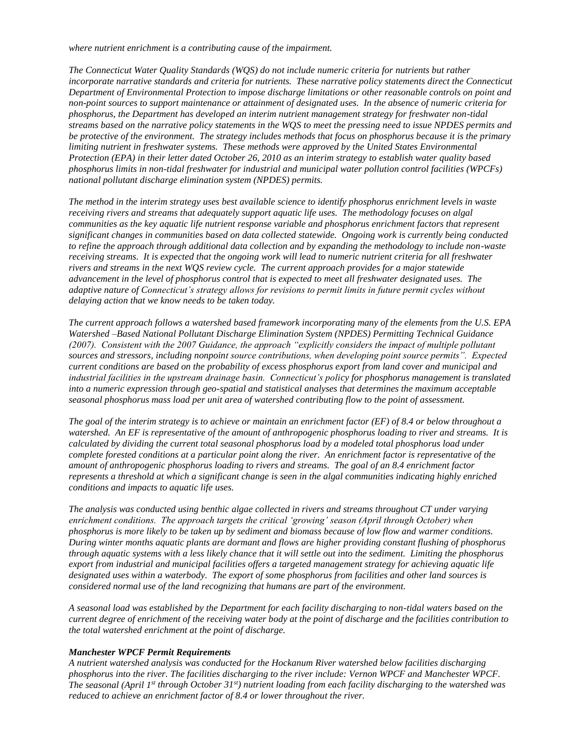*where nutrient enrichment is a contributing cause of the impairment.* 

 *The Connecticut Water Quality Standards (WQS) do not include numeric criteria for nutrients but rather incorporate narrative standards and criteria for nutrients. These narrative policy statements direct the Connecticut Department of Environmental Protection to impose discharge limitations or other reasonable controls on point and non-point sources to support maintenance or attainment of designated uses. In the absence of numeric criteria for phosphorus, the Department has developed an interim nutrient management strategy for freshwater non-tidal streams based on the narrative policy statements in the WQS to meet the pressing need to issue NPDES permits and*  be protective of the environment. The strategy includes methods that focus on phosphorus because it is the primary  *limiting nutrient in freshwater systems. These methods were approved by the United States Environmental Protection (EPA) in their letter dated October 26, 2010 as an interim strategy to establish water quality based phosphorus limits in non-tidal freshwater for industrial and municipal water pollution control facilities (WPCFs) national pollutant discharge elimination system (NPDES) permits.* 

 *The method in the interim strategy uses best available science to identify phosphorus enrichment levels in waste receiving rivers and streams that adequately support aquatic life uses. The methodology focuses on algal communities as the key aquatic life nutrient response variable and phosphorus enrichment factors that represent significant changes in communities based on data collected statewide. Ongoing work is currently being conducted to refine the approach through additional data collection and by expanding the methodology to include non-waste receiving streams. It is expected that the ongoing work will lead to numeric nutrient criteria for all freshwater rivers and streams in the next WQS review cycle. The current approach provides for a major statewide advancement in the level of phosphorus control that is expected to meet all freshwater designated uses. The*  adaptive nature of Connecticut's strategy allows for revisions to permit limits in future permit cycles without  *delaying action that we know needs to be taken today.* 

 *The current approach follows a watershed based framework incorporating many of the elements from the U.S. EPA Watershed –Based National Pollutant Discharge Elimination System (NPDES) Permitting Technical Guidance (2007). Consistent with the 2007 Guidance, the approach "explicitly considers the impact of multiple pollutant sources and stressors, including nonpoint source contributions, when developing point source permits". Expected current conditions are based on the probability of excess phosphorus export from land cover and municipal and industrial facilities in the upstream drainage basin. Connecticut's policy for phosphorus management is translated into a numeric expression through geo-spatial and statistical analyses that determines the maximum acceptable seasonal phosphorus mass load per unit area of watershed contributing flow to the point of assessment.* 

 *The goal of the interim strategy is to achieve or maintain an enrichment factor (EF) of 8.4 or below throughout a*  watershed. An EF is representative of the amount of anthropogenic phosphorus loading to river and streams. It is  *calculated by dividing the current total seasonal phosphorus load by a modeled total phosphorus load under complete forested conditions at a particular point along the river. An enrichment factor is representative of the amount of anthropogenic phosphorus loading to rivers and streams. The goal of an 8.4 enrichment factor represents a threshold at which a significant change is seen in the algal communities indicating highly enriched conditions and impacts to aquatic life uses.* 

 *The analysis was conducted using benthic algae collected in rivers and streams throughout CT under varying enrichment conditions. The approach targets the critical 'growing' season (April through October) when phosphorus is more likely to be taken up by sediment and biomass because of low flow and warmer conditions. During winter months aquatic plants are dormant and flows are higher providing constant flushing of phosphorus through aquatic systems with a less likely chance that it will settle out into the sediment. Limiting the phosphorus export from industrial and municipal facilities offers a targeted management strategy for achieving aquatic life designated uses within a waterbody. The export of some phosphorus from facilities and other land sources is considered normal use of the land recognizing that humans are part of the environment.* 

 *A seasonal load was established by the Department for each facility discharging to non-tidal waters based on the current degree of enrichment of the receiving water body at the point of discharge and the facilities contribution to the total watershed enrichment at the point of discharge.* 

### *Manchester WPCF Permit Requirements*

 *A nutrient watershed analysis was conducted for the Hockanum River watershed below facilities discharging phosphorus into the river. The facilities discharging to the river include: Vernon WPCF and Manchester WPCF. The seasonal (April 1st through October 31st) nutrient loading from each facility discharging to the watershed was reduced to achieve an enrichment factor of 8.4 or lower throughout the river.*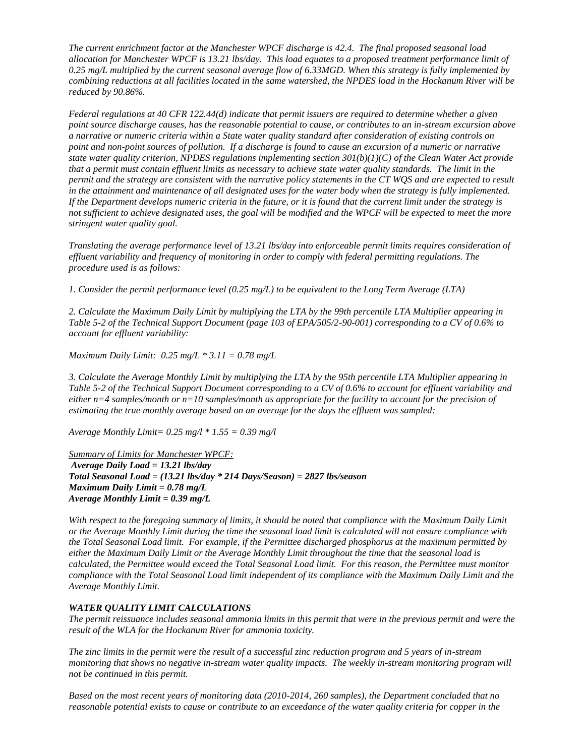*The current enrichment factor at the Manchester WPCF discharge is 42.4. The final proposed seasonal load allocation for Manchester WPCF is 13.21 lbs/day. This load equates to a proposed treatment performance limit of*  0.25 mg/L multiplied by the current seasonal average flow of 6.33MGD. When this strategy is fully implemented by  *combining reductions at all facilities located in the same watershed, the NPDES load in the Hockanum River will be reduced by 90.86%.* 

 *Federal regulations at 40 CFR 122.44(d) indicate that permit issuers are required to determine whether a given point source discharge causes, has the reasonable potential to cause, or contributes to an in-stream excursion above a narrative or numeric criteria within a State water quality standard after consideration of existing controls on*  point and non-point sources of pollution. If a discharge is found to cause an excursion of a numeric or narrative state water quality criterion, NPDES regulations implementing section  $301(b)(1)(C)$  of the Clean Water Act provide  *that a permit must contain effluent limits as necessary to achieve state water quality standards. The limit in the*  permit and the strategy are consistent with the narrative policy statements in the CT WQS and are expected to result  *in the attainment and maintenance of all designated uses for the water body when the strategy is fully implemented. If the Department develops numeric criteria in the future, or it is found that the current limit under the strategy is not sufficient to achieve designated uses, the goal will be modified and the WPCF will be expected to meet the more stringent water quality goal.* 

 *Translating the average performance level of 13.21 lbs/day into enforceable permit limits requires consideration of effluent variability and frequency of monitoring in order to comply with federal permitting regulations. The procedure used is as follows:* 

 *1. Consider the permit performance level (0.25 mg/L) to be equivalent to the Long Term Average (LTA)*

 *2. Calculate the Maximum Daily Limit by multiplying the LTA by the 99th percentile LTA Multiplier appearing in Table 5-2 of the Technical Support Document (page 103 of EPA/505/2-90-001) corresponding to a CV of 0.6% to account for effluent variability:*

 *Maximum Daily Limit: 0.25 mg/L \* 3.11 = 0.78 mg/L* 

 *3. Calculate the Average Monthly Limit by multiplying the LTA by the 95th percentile LTA Multiplier appearing in Table 5-2 of the Technical Support Document corresponding to a CV of 0.6% to account for effluent variability and either n=4 samples/month or n=10 samples/month as appropriate for the facility to account for the precision of estimating the true monthly average based on an average for the days the effluent was sampled:*

 *Average Monthly Limit= 0.25 mg/l \* 1.55 = 0.39 mg/l* 

 *Summary of Limits for Manchester WPCF: Average Daily Load = 13.21 lbs/day Total Seasonal Load = (13.21 lbs/day \* 214 Days/Season) = 2827 lbs/season Maximum Daily Limit = 0.78 mg/L Average Monthly Limit = 0.39 mg/L* 

With respect to the foregoing summary of limits, it should be noted that compliance with the Maximum Daily Limit  *or the Average Monthly Limit during the time the seasonal load limit is calculated will not ensure compliance with the Total Seasonal Load limit. For example, if the Permittee discharged phosphorus at the maximum permitted by either the Maximum Daily Limit or the Average Monthly Limit throughout the time that the seasonal load is calculated, the Permittee would exceed the Total Seasonal Load limit. For this reason, the Permittee must monitor compliance with the Total Seasonal Load limit independent of its compliance with the Maximum Daily Limit and the Average Monthly Limit.* 

### *WATER QUALITY LIMIT CALCULATIONS*

 *The permit reissuance includes seasonal ammonia limits in this permit that were in the previous permit and were the result of the WLA for the Hockanum River for ammonia toxicity.* 

 *The zinc limits in the permit were the result of a successful zinc reduction program and 5 years of in-stream*  monitoring that shows no negative in-stream water quality impacts. The weekly in-stream monitoring program will  *not be continued in this permit.* 

 *Based on the most recent years of monitoring data (2010-2014, 260 samples), the Department concluded that no reasonable potential exists to cause or contribute to an exceedance of the water quality criteria for copper in the*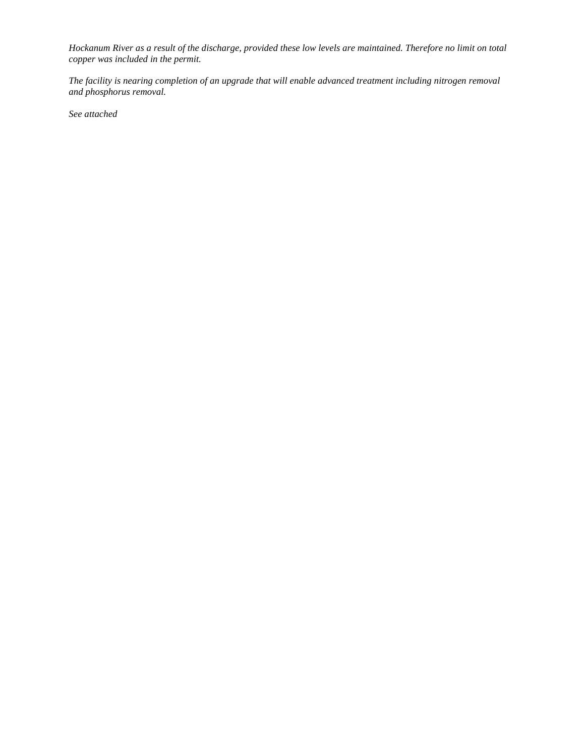*Hockanum River as a result of the discharge, provided these low levels are maintained. Therefore no limit on total copper was included in the permit.* 

 *The facility is nearing completion of an upgrade that will enable advanced treatment including nitrogen removal and phosphorus removal.* 

 *See attached*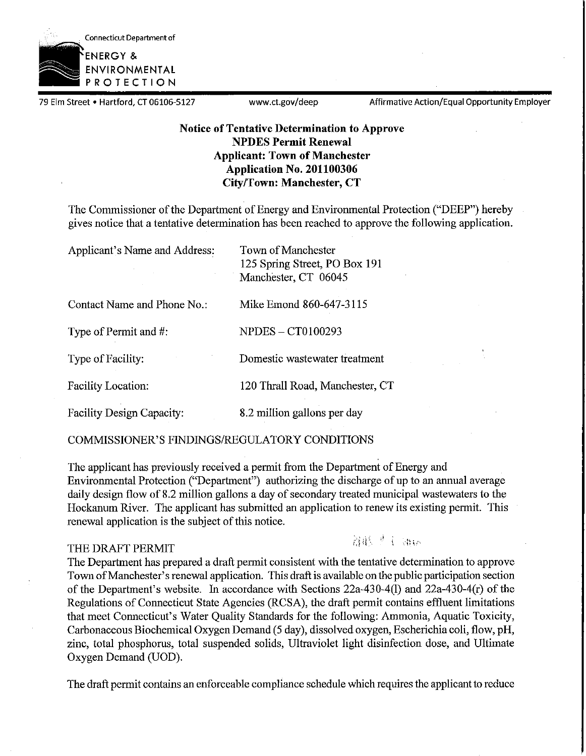

79 Elm Street • Hartford, CT 06106-5127 www.ct.gov/deep Affirmative Action/Equal Opportunity Employer

### **Notice of Tentative Determination to Approve NPDES Permit Renewal Applicant: Town of Manchester Application No. 201100306 City/Town: Manchester, CT**

The Commissioner of the Department of Energy and Environmental Protection ("DEEP") hereby gives notice that a tentative determination has been reached to approve the following application.

| Applicant's Name and Address: | <b>Town of Manchester</b><br>125 Spring Street, PO Box 191<br>Manchester, CT 06045 |
|-------------------------------|------------------------------------------------------------------------------------|
| Contact Name and Phone No.:   | Mike Emond 860-647-3115                                                            |
| Type of Permit and #:         | <b>NPDES - CT0100293</b>                                                           |
| Type of Facility:             | Domestic wastewater treatment                                                      |
| <b>Facility Location:</b>     | 120 Thrall Road, Manchester, CT                                                    |
| Facility Design Capacity:     | 8.2 million gallons per day                                                        |

COMMISSIONER'S FINDINGS/REGULATORY CONDITIONS

The applicant has previously received a permit from the Department of Energy and Environmental Protection (''Department") authorizing the discharge of up to an annual average daily design flow of 8.2 million gallons a day of secondary treated municipal wastewaters to the Hockanum River. The applicant has submitted an application to renew its existing permit. This renewal application is the subject of this notice.

### THE DRAFT PERMIT

溶胀プイ ほい

The Department has prepared a draft permit consistent with the tentative determination to approve Town of Manchester's renewal application. This draft is available on the public participation section of the Department's website. In accordance with Sections 22a-430-4(1) and 22a-430-4(r) of the Regulations of Connecticut State Agencies (RCSA), the draft permit contains effluent limitations that meet Connecticut's Water Quality Standards for the following: Ammonia, Aquatic Toxicity, Carbonaceous Biochemical Oxygen Demand (5 day), dissolved oxygen, Escherichia coli, flow, pH, zinc, total phosphorus, total suspended solids, Ultraviolet light disinfection dose, and Ultimate Oxygen Demand (UOD).

The draft permit contains an enforceable compliance schedule which requires the applicant to reduce